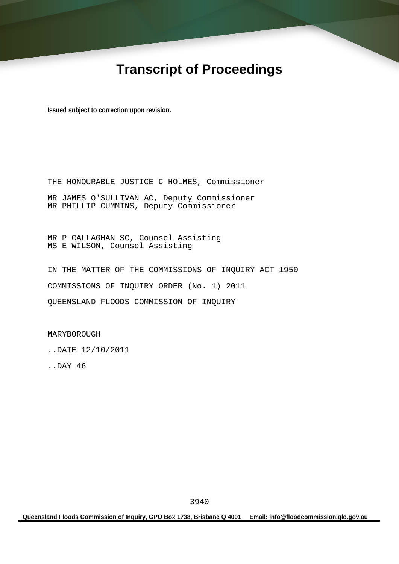# **Transcript of Proceedings**

**Issued subject to correction upon revision.** 

THE HONOURABLE JUSTICE C HOLMES, Commissioner MR JAMES O'SULLIVAN AC, Deputy Commissioner MR PHILLIP CUMMINS, Deputy Commissioner

MR P CALLAGHAN SC, Counsel Assisting MS E WILSON, Counsel Assisting

IN THE MATTER OF THE COMMISSIONS OF INQUIRY ACT 1950 COMMISSIONS OF INQUIRY ORDER (No. 1) 2011 QUEENSLAND FLOODS COMMISSION OF INQUIRY

MARYBOROUGH

..DATE 12/10/2011

..DAY 46

**Queensland Floods Commission of Inquiry, GPO Box 1738, Brisbane Q 4001 Email: info@floodcommission.qld.gov.au**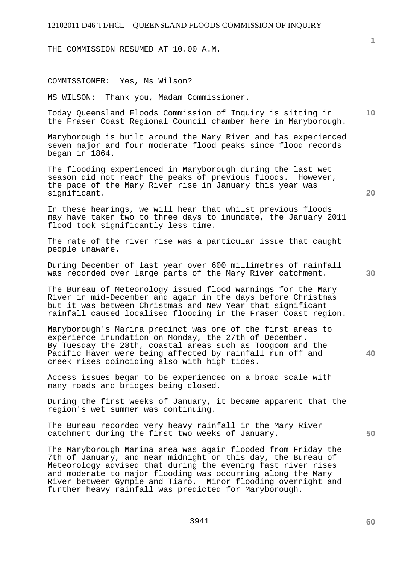THE COMMISSION RESUMED AT 10.00 A.M.

COMMISSIONER: Yes, Ms Wilson?

MS WILSON: Thank you, Madam Commissioner.

Today Queensland Floods Commission of Inquiry is sitting in the Fraser Coast Regional Council chamber here in Maryborough.

Maryborough is built around the Mary River and has experienced seven major and four moderate flood peaks since flood records began in 1864.

The flooding experienced in Maryborough during the last wet season did not reach the peaks of previous floods. However, the pace of the Mary River rise in January this year was significant.

In these hearings, we will hear that whilst previous floods may have taken two to three days to inundate, the January 2011 flood took significantly less time.

The rate of the river rise was a particular issue that caught people unaware.

During December of last year over 600 millimetres of rainfall was recorded over large parts of the Mary River catchment.

The Bureau of Meteorology issued flood warnings for the Mary River in mid-December and again in the days before Christmas but it was between Christmas and New Year that significant rainfall caused localised flooding in the Fraser Coast region.

Maryborough's Marina precinct was one of the first areas to experience inundation on Monday, the 27th of December. By Tuesday the 28th, coastal areas such as Toogoom and the Pacific Haven were being affected by rainfall run off and creek rises coinciding also with high tides.

Access issues began to be experienced on a broad scale with many roads and bridges being closed.

During the first weeks of January, it became apparent that the region's wet summer was continuing.

The Bureau recorded very heavy rainfall in the Mary River catchment during the first two weeks of January.

The Maryborough Marina area was again flooded from Friday the 7th of January, and near midnight on this day, the Bureau of Meteorology advised that during the evening fast river rises and moderate to major flooding was occurring along the Mary River between Gympie and Tiaro. Minor flooding overnight and further heavy rainfall was predicted for Maryborough.

**20** 

**40** 

**50** 

**60** 

**1**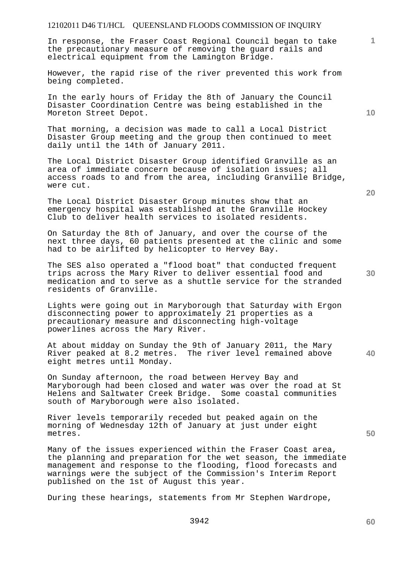In response, the Fraser Coast Regional Council began to take the precautionary measure of removing the guard rails and electrical equipment from the Lamington Bridge.

However, the rapid rise of the river prevented this work from being completed.

In the early hours of Friday the 8th of January the Council Disaster Coordination Centre was being established in the Moreton Street Depot.

That morning, a decision was made to call a Local District Disaster Group meeting and the group then continued to meet daily until the 14th of January 2011.

The Local District Disaster Group identified Granville as an area of immediate concern because of isolation issues; all access roads to and from the area, including Granville Bridge, were cut.

The Local District Disaster Group minutes show that an emergency hospital was established at the Granville Hockey Club to deliver health services to isolated residents.

On Saturday the 8th of January, and over the course of the next three days, 60 patients presented at the clinic and some had to be airlifted by helicopter to Hervey Bay.

The SES also operated a "flood boat" that conducted frequent trips across the Mary River to deliver essential food and medication and to serve as a shuttle service for the stranded residents of Granville.

Lights were going out in Maryborough that Saturday with Ergon disconnecting power to approximately 21 properties as a precautionary measure and disconnecting high-voltage powerlines across the Mary River.

At about midday on Sunday the 9th of January 2011, the Mary River peaked at 8.2 metres. The river level remained above eight metres until Monday.

On Sunday afternoon, the road between Hervey Bay and Maryborough had been closed and water was over the road at St Helens and Saltwater Creek Bridge. Some coastal communities south of Maryborough were also isolated.

River levels temporarily receded but peaked again on the morning of Wednesday 12th of January at just under eight metres.

Many of the issues experienced within the Fraser Coast area, the planning and preparation for the wet season, the immediate management and response to the flooding, flood forecasts and warnings were the subject of the Commission's Interim Report published on the 1st of August this year.

During these hearings, statements from Mr Stephen Wardrope,

**10** 

**1**

**30** 

**20** 

**40**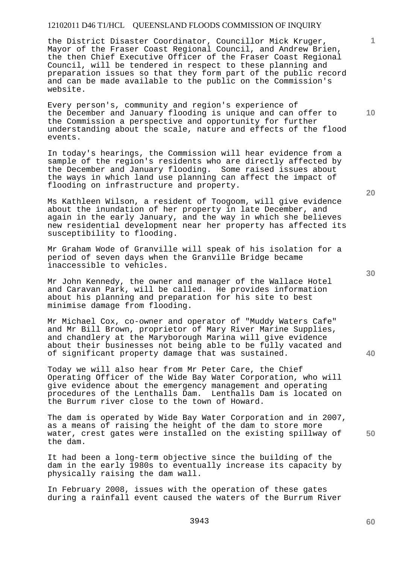the District Disaster Coordinator, Councillor Mick Kruger, Mayor of the Fraser Coast Regional Council, and Andrew Brien, the then Chief Executive Officer of the Fraser Coast Regional Council, will be tendered in respect to these planning and preparation issues so that they form part of the public record and can be made available to the public on the Commission's website.

Every person's, community and region's experience of the December and January flooding is unique and can offer to the Commission a perspective and opportunity for further understanding about the scale, nature and effects of the flood events.

In today's hearings, the Commission will hear evidence from a sample of the region's residents who are directly affected by the December and January flooding. Some raised issues about the ways in which land use planning can affect the impact of flooding on infrastructure and property.

Ms Kathleen Wilson, a resident of Toogoom, will give evidence about the inundation of her property in late December, and again in the early January, and the way in which she believes new residential development near her property has affected its susceptibility to flooding.

Mr Graham Wode of Granville will speak of his isolation for a period of seven days when the Granville Bridge became inaccessible to vehicles.

Mr John Kennedy, the owner and manager of the Wallace Hotel and Caravan Park, will be called. He provides information about his planning and preparation for his site to best minimise damage from flooding.

Mr Michael Cox, co-owner and operator of "Muddy Waters Cafe" and Mr Bill Brown, proprietor of Mary River Marine Supplies, and chandlery at the Maryborough Marina will give evidence about their businesses not being able to be fully vacated and of significant property damage that was sustained.

Today we will also hear from Mr Peter Care, the Chief Operating Officer of the Wide Bay Water Corporation, who will give evidence about the emergency management and operating procedures of the Lenthalls Dam. Lenthalls Dam is located on the Burrum river close to the town of Howard.

The dam is operated by Wide Bay Water Corporation and in 2007, as a means of raising the height of the dam to store more water, crest gates were installed on the existing spillway of the dam.

It had been a long-term objective since the building of the dam in the early 1980s to eventually increase its capacity by physically raising the dam wall.

In February 2008, issues with the operation of these gates during a rainfall event caused the waters of the Burrum River **30** 

**20** 

**50** 

**1**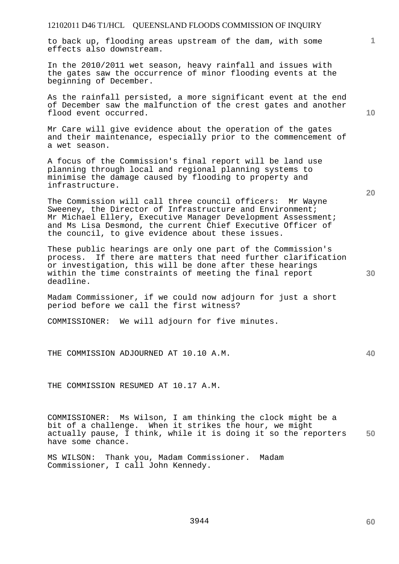to back up, flooding areas upstream of the dam, with some effects also downstream.

In the 2010/2011 wet season, heavy rainfall and issues with the gates saw the occurrence of minor flooding events at the beginning of December.

As the rainfall persisted, a more significant event at the end of December saw the malfunction of the crest gates and another flood event occurred.

Mr Care will give evidence about the operation of the gates and their maintenance, especially prior to the commencement of a wet season.

A focus of the Commission's final report will be land use planning through local and regional planning systems to minimise the damage caused by flooding to property and infrastructure.

The Commission will call three council officers: Mr Wayne Sweeney, the Director of Infrastructure and Environment; Mr Michael Ellery, Executive Manager Development Assessment; and Ms Lisa Desmond, the current Chief Executive Officer of the council, to give evidence about these issues.

These public hearings are only one part of the Commission's process. If there are matters that need further clarification or investigation, this will be done after these hearings within the time constraints of meeting the final report deadline.

Madam Commissioner, if we could now adjourn for just a short period before we call the first witness?

COMMISSIONER: We will adjourn for five minutes.

THE COMMISSION ADJOURNED AT 10.10 A.M.

THE COMMISSION RESUMED AT 10.17 A.M.

**50**  COMMISSIONER: Ms Wilson, I am thinking the clock might be a bit of a challenge. When it strikes the hour, we might actually pause, I think, while it is doing it so the reporters have some chance.

MS WILSON: Thank you, Madam Commissioner. Madam Commissioner, I call John Kennedy.

**10** 

**20** 

**1**

**40**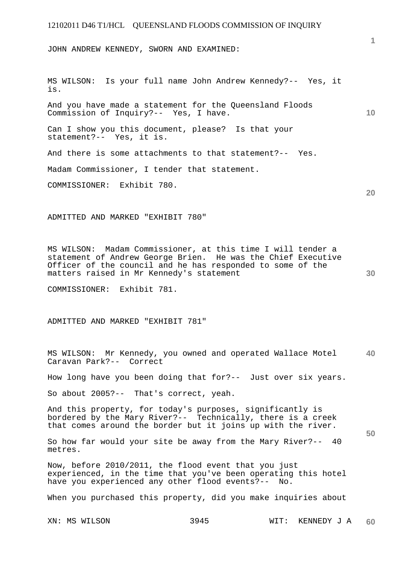JOHN ANDREW KENNEDY, SWORN AND EXAMINED:

MS WILSON: Is your full name John Andrew Kennedy?-- Yes, it is. And you have made a statement for the Queensland Floods Commission of Inquiry?-- Yes, I have. Can I show you this document, please? Is that your statement?-- Yes, it is. And there is some attachments to that statement?-- Yes. Madam Commissioner, I tender that statement. COMMISSIONER: Exhibit 780.

ADMITTED AND MARKED "EXHIBIT 780"

MS WILSON: Madam Commissioner, at this time I will tender a statement of Andrew George Brien. He was the Chief Executive Officer of the council and he has responded to some of the matters raised in Mr Kennedy's statement

COMMISSIONER: Exhibit 781.

ADMITTED AND MARKED "EXHIBIT 781"

**40**  MS WILSON: Mr Kennedy, you owned and operated Wallace Motel Caravan Park?-- Correct

How long have you been doing that for?-- Just over six years.

So about 2005?-- That's correct, yeah.

And this property, for today's purposes, significantly is bordered by the Mary River?-- Technically, there is a creek that comes around the border but it joins up with the river.

So how far would your site be away from the Mary River?-- 40 metres.

Now, before 2010/2011, the flood event that you just experienced, in the time that you've been operating this hotel have you experienced any other flood events?-- No.

When you purchased this property, did you make inquiries about

**1**

**20** 

**10**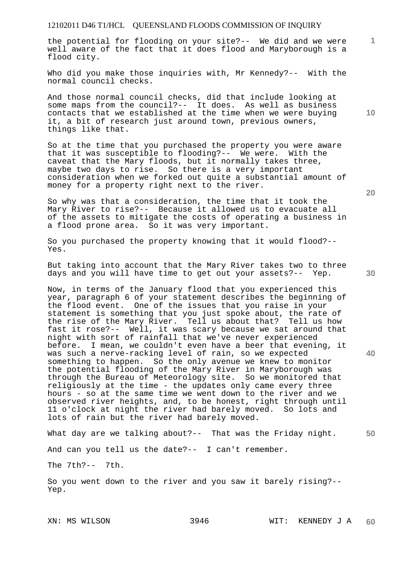the potential for flooding on your site?-- We did and we were well aware of the fact that it does flood and Maryborough is a flood city.

Who did you make those inquiries with, Mr Kennedy?-- With the normal council checks.

And those normal council checks, did that include looking at some maps from the council?-- It does. As well as business contacts that we established at the time when we were buying it, a bit of research just around town, previous owners, things like that.

So at the time that you purchased the property you were aware that it was susceptible to flooding?-- We were. With the caveat that the Mary floods, but it normally takes three, maybe two days to rise. So there is a very important consideration when we forked out quite a substantial amount of money for a property right next to the river.

So why was that a consideration, the time that it took the Mary River to rise?-- Because it allowed us to evacuate all of the assets to mitigate the costs of operating a business in a flood prone area. So it was very important.

So you purchased the property knowing that it would flood?-- Yes.

But taking into account that the Mary River takes two to three days and you will have time to get out your assets?-- Yep.

Now, in terms of the January flood that you experienced this year, paragraph 6 of your statement describes the beginning of the flood event. One of the issues that you raise in your statement is something that you just spoke about, the rate of the rise of the Mary River. Tell us about that? Tell us how fast it rose?-- Well, it was scary because we sat around that night with sort of rainfall that we've never experienced before. I mean, we couldn't even have a beer that evening, it was such a nerve-racking level of rain, so we expected something to happen. So the only avenue we knew to monitor the potential flooding of the Mary River in Maryborough was through the Bureau of Meteorology site. So we monitored that religiously at the time - the updates only came every three hours - so at the same time we went down to the river and we observed river heights, and, to be honest, right through until 11 o'clock at night the river had barely moved. So lots and lots of rain but the river had barely moved.

What day are we talking about?-- That was the Friday night.

And can you tell us the date?-- I can't remember.

The 7th?-- 7th.

So you went down to the river and you saw it barely rising?-- Yep.

**20** 

**40** 

**50** 

**10**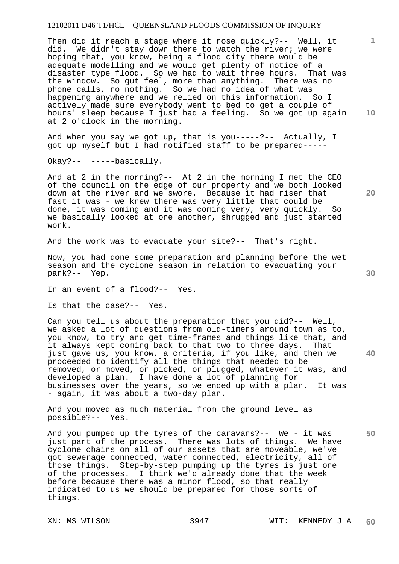Then did it reach a stage where it rose quickly?-- Well, it did. We didn't stay down there to watch the river; we were hoping that, you know, being a flood city there would be adequate modelling and we would get plenty of notice of a<br>disaster type flood. So we had to wait three hours. That was disaster type flood. So we had to wait three hours. the window. So gut feel, more than anything. There was no phone calls, no nothing. So we had no idea of what was happening anywhere and we relied on this information. So I actively made sure everybody went to bed to get a couple of hours' sleep because I just had a feeling. So we got up again at 2 o'clock in the morning.

And when you say we got up, that is you-----?-- Actually, I got up myself but I had notified staff to be prepared-----

Okay?-- -----basically.

And at 2 in the morning?-- At 2 in the morning I met the CEO of the council on the edge of our property and we both looked down at the river and we swore. Because it had risen that fast it was - we knew there was very little that could be done, it was coming and it was coming very, very quickly. So we basically looked at one another, shrugged and just started work.

And the work was to evacuate your site?-- That's right.

Now, you had done some preparation and planning before the wet season and the cyclone season in relation to evacuating your park?-- Yep.

In an event of a flood?-- Yes.

Is that the case?-- Yes.

Can you tell us about the preparation that you did?-- Well, we asked a lot of questions from old-timers around town as to, you know, to try and get time-frames and things like that, and it always kept coming back to that two to three days. That just gave us, you know, a criteria, if you like, and then we proceeded to identify all the things that needed to be removed, or moved, or picked, or plugged, whatever it was, and developed a plan. I have done a lot of planning for businesses over the years, so we ended up with a plan. It was - again, it was about a two-day plan.

And you moved as much material from the ground level as possible?-- Yes.

**50**  And you pumped up the tyres of the caravans?-- We - it was just part of the process. There was lots of things. We have cyclone chains on all of our assets that are moveable, we've got sewerage connected, water connected, electricity, all of those things. Step-by-step pumping up the tyres is just one of the processes. I think we'd already done that the week before because there was a minor flood, so that really indicated to us we should be prepared for those sorts of things.

**10** 

**1**

**20**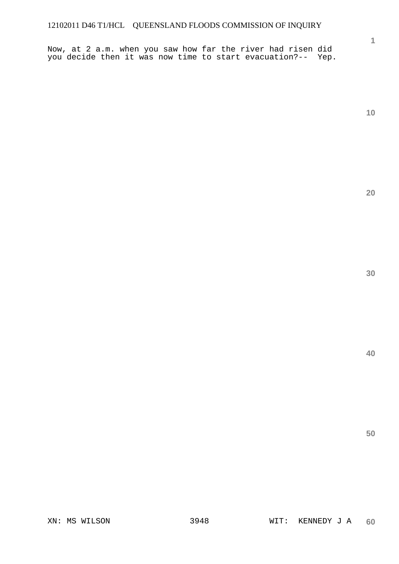Now, at 2 a.m. when you saw how far the river had risen did you decide then it was now time to start evacuation?-- Yep.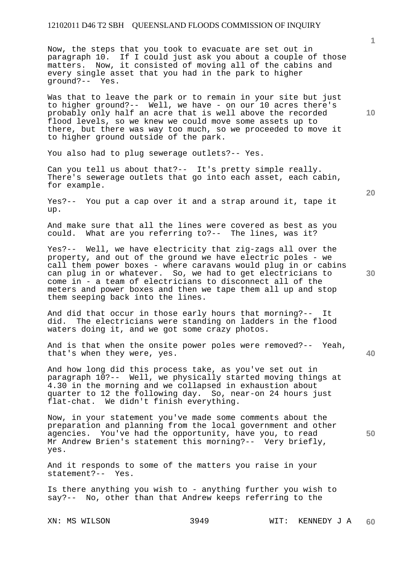Now, the steps that you took to evacuate are set out in paragraph 10. If I could just ask you about a couple of those matters. Now, it consisted of moving all of the cabins and every single asset that you had in the park to higher ground?-- Yes.

Was that to leave the park or to remain in your site but just to higher ground?-- Well, we have - on our 10 acres there's probably only half an acre that is well above the recorded flood levels, so we knew we could move some assets up to there, but there was way too much, so we proceeded to move it to higher ground outside of the park.

You also had to plug sewerage outlets?-- Yes.

Can you tell us about that?-- It's pretty simple really. There's sewerage outlets that go into each asset, each cabin, for example.

Yes?-- You put a cap over it and a strap around it, tape it up.

And make sure that all the lines were covered as best as you could. What are you referring to?-- The lines, was it? What are you referring to?-- The lines, was it?

Yes?-- Well, we have electricity that zig-zags all over the property, and out of the ground we have electric poles - we call them power boxes - where caravans would plug in or cabins can plug in or whatever. So, we had to get electricians to come in - a team of electricians to disconnect all of the meters and power boxes and then we tape them all up and stop them seeping back into the lines.

And did that occur in those early hours that morning?-- It did. The electricians were standing on ladders in the flood waters doing it, and we got some crazy photos.

And is that when the onsite power poles were removed?-- Yeah, that's when they were, yes.

And how long did this process take, as you've set out in paragraph 10?-- Well, we physically started moving things at 4.30 in the morning and we collapsed in exhaustion about quarter to 12 the following day. So, near-on 24 hours just flat-chat. We didn't finish everything.

Now, in your statement you've made some comments about the preparation and planning from the local government and other agencies. You've had the opportunity, have you, to read Mr Andrew Brien's statement this morning?-- Very briefly, yes.

And it responds to some of the matters you raise in your statement?-- Yes.

Is there anything you wish to - anything further you wish to say?-- No, other than that Andrew keeps referring to the

**10** 

**1**

**20** 

**40**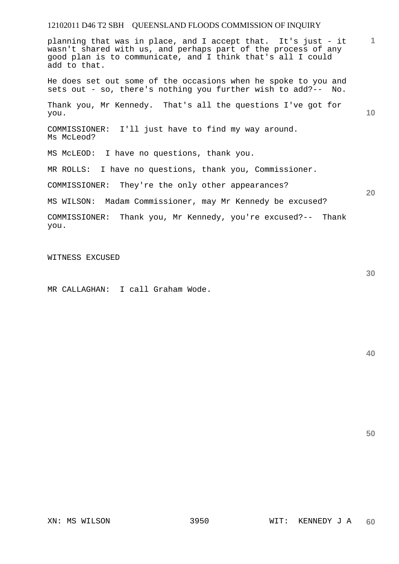**1 10 20**  planning that was in place, and I accept that. It's just - it wasn't shared with us, and perhaps part of the process of any good plan is to communicate, and I think that's all I could add to that. He does set out some of the occasions when he spoke to you and sets out - so, there's nothing you further wish to add?-- No. Thank you, Mr Kennedy. That's all the questions I've got for you. COMMISSIONER: I'll just have to find my way around. Ms McLeod? MS McLEOD: I have no questions, thank you. MR ROLLS: I have no questions, thank you, Commissioner. COMMISSIONER: They're the only other appearances? MS WILSON: Madam Commissioner, may Mr Kennedy be excused? COMMISSIONER: Thank you, Mr Kennedy, you're excused?-- Thank you.

WITNESS EXCUSED

MR CALLAGHAN: I call Graham Wode.

**40** 

**50**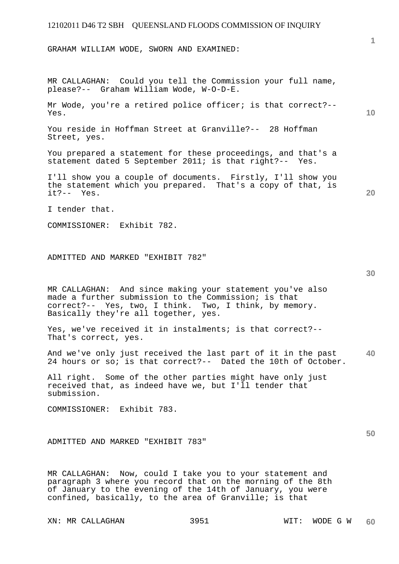GRAHAM WILLIAM WODE, SWORN AND EXAMINED:

MR CALLAGHAN: Could you tell the Commission your full name, please?-- Graham William Wode, W-O-D-E.

Mr Wode, you're a retired police officer; is that correct?-- Yes.

You reside in Hoffman Street at Granville?-- 28 Hoffman Street, yes.

You prepared a statement for these proceedings, and that's a statement dated 5 September 2011; is that right?-- Yes.

I'll show you a couple of documents. Firstly, I'll show you the statement which you prepared. That's a copy of that, is it?-- Yes.

I tender that.

COMMISSIONER: Exhibit 782.

ADMITTED AND MARKED "EXHIBIT 782"

MR CALLAGHAN: And since making your statement you've also made a further submission to the Commission; is that correct?-- Yes, two, I think. Two, I think, by memory. Basically they're all together, yes.

Yes, we've received it in instalments; is that correct?-- That's correct, yes.

**40**  And we've only just received the last part of it in the past 24 hours or so; is that correct?-- Dated the 10th of October.

All right. Some of the other parties might have only just received that, as indeed have we, but I'll tender that submission.

COMMISSIONER: Exhibit 783.

ADMITTED AND MARKED "EXHIBIT 783"

MR CALLAGHAN: Now, could I take you to your statement and paragraph 3 where you record that on the morning of the 8th of January to the evening of the 14th of January, you were confined, basically, to the area of Granville; is that

XN: MR CALLAGHAN 3951 WIT: WODE G W

**10** 

**20** 

**1**

**30**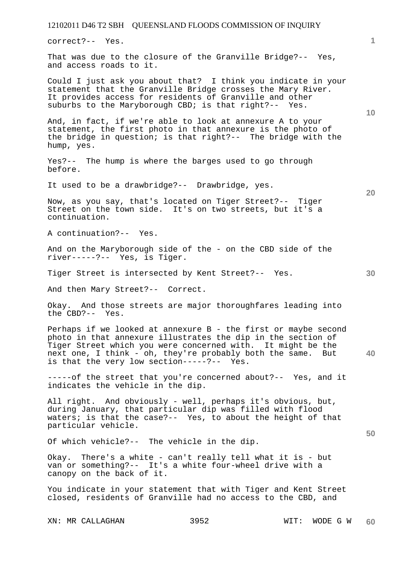correct?-- Yes.

That was due to the closure of the Granville Bridge?-- Yes, and access roads to it.

Could I just ask you about that? I think you indicate in your statement that the Granville Bridge crosses the Mary River. It provides access for residents of Granville and other suburbs to the Maryborough CBD; is that right?-- Yes.

And, in fact, if we're able to look at annexure A to your statement, the first photo in that annexure is the photo of the bridge in question; is that right?-- The bridge with the hump, yes.

Yes?-- The hump is where the barges used to go through before.

It used to be a drawbridge?-- Drawbridge, yes.

Now, as you say, that's located on Tiger Street?-- Tiger Street on the town side. It's on two streets, but it's a continuation.

A continuation?-- Yes.

And on the Maryborough side of the - on the CBD side of the river-----?-- Yes, is Tiger.

Tiger Street is intersected by Kent Street?-- Yes.

And then Mary Street?-- Correct.

Okay. And those streets are major thoroughfares leading into the CBD?-- Yes.

**40**  Perhaps if we looked at annexure B - the first or maybe second photo in that annexure illustrates the dip in the section of Tiger Street which you were concerned with. It might be the next one, I think - oh, they're probably both the same. But is that the very low section-----?-- Yes.

-----of the street that you're concerned about?-- Yes, and it indicates the vehicle in the dip.

All right. And obviously - well, perhaps it's obvious, but, during January, that particular dip was filled with flood waters; is that the case?-- Yes, to about the height of that particular vehicle.

Of which vehicle?-- The vehicle in the dip.

Okay. There's a white - can't really tell what it is - but van or something?-- It's a white four-wheel drive with a canopy on the back of it.

You indicate in your statement that with Tiger and Kent Street closed, residents of Granville had no access to the CBD, and

XN: MR CALLAGHAN 3952 WIT: WODE G W

**10** 

**20** 

**1**

**30**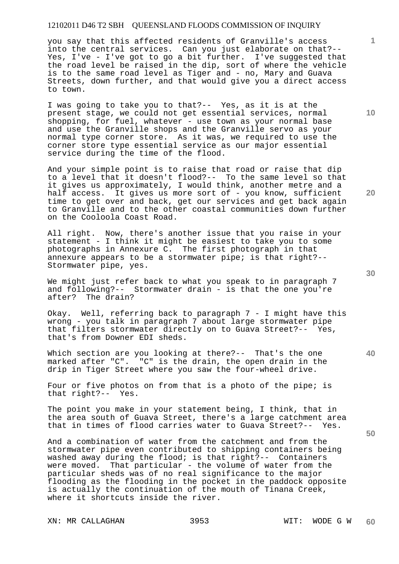you say that this affected residents of Granville's access into the central services. Can you just elaborate on that?-- Yes, I've - I've got to go a bit further. I've suggested that the road level be raised in the dip, sort of where the vehicle is to the same road level as Tiger and - no, Mary and Guava Streets, down further, and that would give you a direct access to town.

I was going to take you to that?-- Yes, as it is at the present stage, we could not get essential services, normal shopping, for fuel, whatever - use town as your normal base and use the Granville shops and the Granville servo as your normal type corner store. As it was, we required to use the corner store type essential service as our major essential service during the time of the flood.

And your simple point is to raise that road or raise that dip to a level that it doesn't flood?-- To the same level so that it gives us approximately, I would think, another metre and a half access. It gives us more sort of - you know, sufficient time to get over and back, get our services and get back again to Granville and to the other coastal communities down further on the Cooloola Coast Road.

All right. Now, there's another issue that you raise in your statement - I think it might be easiest to take you to some photographs in Annexure C. The first photograph in that annexure appears to be a stormwater pipe; is that right?-- Stormwater pipe, yes.

We might just refer back to what you speak to in paragraph 7 and following?-- Stormwater drain - is that the one you're after? The drain?

Okay. Well, referring back to paragraph 7 - I might have this wrong - you talk in paragraph 7 about large stormwater pipe that filters stormwater directly on to Guava Street?-- Yes, that's from Downer EDI sheds.

Which section are you looking at there?-- That's the one marked after "C". "C" is the drain, the open drain in the drip in Tiger Street where you saw the four-wheel drive.

Four or five photos on from that is a photo of the pipe; is that right?-- Yes.

The point you make in your statement being, I think, that in the area south of Guava Street, there's a large catchment area that in times of flood carries water to Guava Street?-- Yes.

And a combination of water from the catchment and from the stormwater pipe even contributed to shipping containers being washed away during the flood; is that right?-- Containers were moved. That particular - the volume of water from the particular sheds was of no real significance to the major flooding as the flooding in the pocket in the paddock opposite is actually the continuation of the mouth of Tinana Creek, where it shortcuts inside the river.

XN: MR CALLAGHAN 3953 WIT: WODE G W

**40** 

**50** 

**20** 

**10**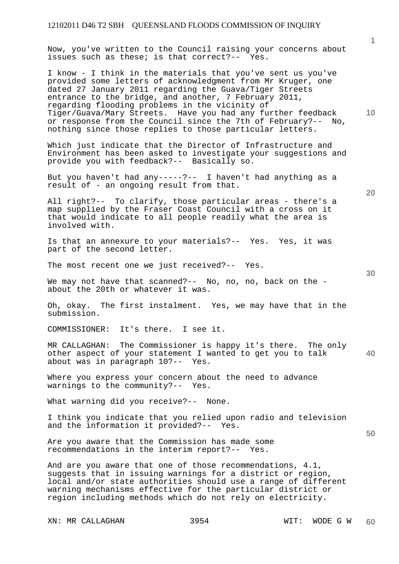Now, you've written to the Council raising your concerns about issues such as these; is that correct?-- Yes.

I know - I think in the materials that you've sent us you've provided some letters of acknowledgment from Mr Kruger, one dated 27 January 2011 regarding the Guava/Tiger Streets entrance to the bridge, and another, 7 February 2011, regarding flooding problems in the vicinity of Tiger/Guava/Mary Streets. Have you had any further feedback or response from the Council since the 7th of February?-- No, nothing since those replies to those particular letters.

Which just indicate that the Director of Infrastructure and Environment has been asked to investigate your suggestions and provide you with feedback?-- Basically so.

But you haven't had any-----?-- I haven't had anything as a result of - an ongoing result from that.

All right?-- To clarify, those particular areas - there's a map supplied by the Fraser Coast Council with a cross on it that would indicate to all people readily what the area is involved with.

Is that an annexure to your materials?-- Yes. Yes, it was part of the second letter.

The most recent one we just received?-- Yes.

We may not have that scanned?-- No, no, no, back on the about the 20th or whatever it was.

Oh, okay. The first instalment. Yes, we may have that in the submission.

COMMISSIONER: It's there. I see it.

**40**  MR CALLAGHAN: The Commissioner is happy it's there. The only other aspect of your statement I wanted to get you to talk about was in paragraph 10?-- Yes.

Where you express your concern about the need to advance warnings to the community?-- Yes.

What warning did you receive?-- None.

I think you indicate that you relied upon radio and television and the information it provided?-- Yes.

Are you aware that the Commission has made some recommendations in the interim report?-- Yes.

And are you aware that one of those recommendations, 4.1, suggests that in issuing warnings for a district or region, local and/or state authorities should use a range of different warning mechanisms effective for the particular district or region including methods which do not rely on electricity.

XN: MR CALLAGHAN 3954 WIT: WODE G W

**1**

**10** 

**30** 

**50**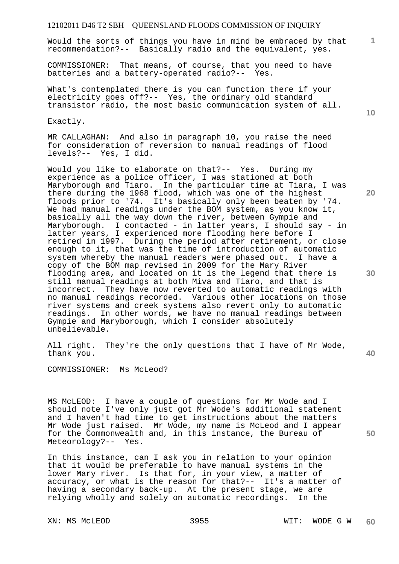Would the sorts of things you have in mind be embraced by that recommendation?-- Basically radio and the equivalent, yes.

COMMISSIONER: That means, of course, that you need to have batteries and a battery-operated radio?-- Yes.

What's contemplated there is you can function there if your electricity goes off?-- Yes, the ordinary old standard transistor radio, the most basic communication system of all.

Exactly.

MR CALLAGHAN: And also in paragraph 10, you raise the need for consideration of reversion to manual readings of flood levels?-- Yes, I did.

Would you like to elaborate on that?-- Yes. During my experience as a police officer, I was stationed at both Maryborough and Tiaro. In the particular time at Tiara, I was there during the 1968 flood, which was one of the highest floods prior to '74. It's basically only been beaten by '74. We had manual readings under the BOM system, as you know it, basically all the way down the river, between Gympie and Maryborough. I contacted - in latter years, I should say - in latter years, I experienced more flooding here before I retired in 1997. During the period after retirement, or close enough to it, that was the time of introduction of automatic system whereby the manual readers were phased out. I have a copy of the BOM map revised in 2009 for the Mary River flooding area, and located on it is the legend that there is still manual readings at both Miva and Tiaro, and that is incorrect. They have now reverted to automatic readings with no manual readings recorded. Various other locations on those river systems and creek systems also revert only to automatic readings. In other words, we have no manual readings between Gympie and Maryborough, which I consider absolutely unbelievable.

All right. They're the only questions that I have of Mr Wode, thank you.

COMMISSIONER: Ms McLeod?

MS McLEOD: I have a couple of questions for Mr Wode and I should note I've only just got Mr Wode's additional statement and I haven't had time to get instructions about the matters Mr Wode just raised. Mr Wode, my name is McLeod and I appear for the Commonwealth and, in this instance, the Bureau of Meteorology?-- Yes.

In this instance, can I ask you in relation to your opinion that it would be preferable to have manual systems in the lower Mary river. Is that for, in your view, a matter of accuracy, or what is the reason for that?-- It's a matter of having a secondary back-up. At the present stage, we are relying wholly and solely on automatic recordings. In the

**10** 

**1**

**30** 

**20** 

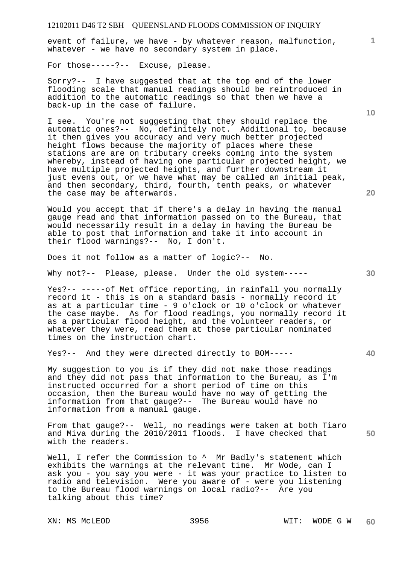event of failure, we have - by whatever reason, malfunction, whatever - we have no secondary system in place.

For those-----?-- Excuse, please.

Sorry?-- I have suggested that at the top end of the lower flooding scale that manual readings should be reintroduced in addition to the automatic readings so that then we have a back-up in the case of failure.

I see. You're not suggesting that they should replace the automatic ones?-- No, definitely not. Additional to, because it then gives you accuracy and very much better projected height flows because the majority of places where these stations are are on tributary creeks coming into the system whereby, instead of having one particular projected height, we have multiple projected heights, and further downstream it just evens out, or we have what may be called an initial peak, and then secondary, third, fourth, tenth peaks, or whatever the case may be afterwards.

Would you accept that if there's a delay in having the manual gauge read and that information passed on to the Bureau, that would necessarily result in a delay in having the Bureau be able to post that information and take it into account in their flood warnings?-- No, I don't.

Does it not follow as a matter of logic?-- No.

Why not?-- Please, please. Under the old system-----

Yes?-- -----of Met office reporting, in rainfall you normally record it - this is on a standard basis - normally record it as at a particular time - 9 o'clock or 10 o'clock or whatever the case maybe. As for flood readings, you normally record it as a particular flood height, and the volunteer readers, or whatever they were, read them at those particular nominated times on the instruction chart.

Yes?-- And they were directed directly to BOM-----

My suggestion to you is if they did not make those readings and they did not pass that information to the Bureau, as I'm instructed occurred for a short period of time on this occasion, then the Bureau would have no way of getting the information from that gauge?-- The Bureau would have no information from a manual gauge.

From that gauge?-- Well, no readings were taken at both Tiaro and Miva during the 2010/2011 floods. I have checked that with the readers.

Well, I refer the Commission to  $\wedge$  Mr Badly's statement which exhibits the warnings at the relevant time. Mr Wode, can I ask you - you say you were - it was your practice to listen to radio and television. Were you aware of - were you listening to the Bureau flood warnings on local radio?-- Are you talking about this time?

**10** 

**1**

**20** 

**40**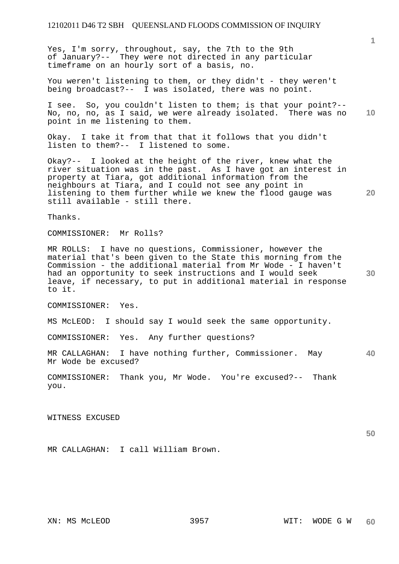Yes, I'm sorry, throughout, say, the 7th to the 9th of January?-- They were not directed in any particular timeframe on an hourly sort of a basis, no.

You weren't listening to them, or they didn't - they weren't being broadcast?-- I was isolated, there was no point.

**10**  I see. So, you couldn't listen to them; is that your point?-- No, no, no, as I said, we were already isolated. There was no point in me listening to them.

Okay. I take it from that that it follows that you didn't listen to them?-- I listened to some.

**20**  Okay?-- I looked at the height of the river, knew what the river situation was in the past. As I have got an interest in property at Tiara, got additional information from the neighbours at Tiara, and I could not see any point in listening to them further while we knew the flood gauge was still available - still there.

Thanks.

COMMISSIONER: Mr Rolls?

**30**  MR ROLLS: I have no questions, Commissioner, however the material that's been given to the State this morning from the Commission - the additional material from Mr Wode - I haven't had an opportunity to seek instructions and I would seek leave, if necessary, to put in additional material in response to it.

COMMISSIONER: Yes.

MS McLEOD: I should say I would seek the same opportunity.

COMMISSIONER: Yes. Any further questions?

**40**  MR CALLAGHAN: I have nothing further, Commissioner. May Mr Wode be excused?

COMMISSIONER: Thank you, Mr Wode. You're excused?-- Thank you.

WITNESS EXCUSED

MR CALLAGHAN: I call William Brown.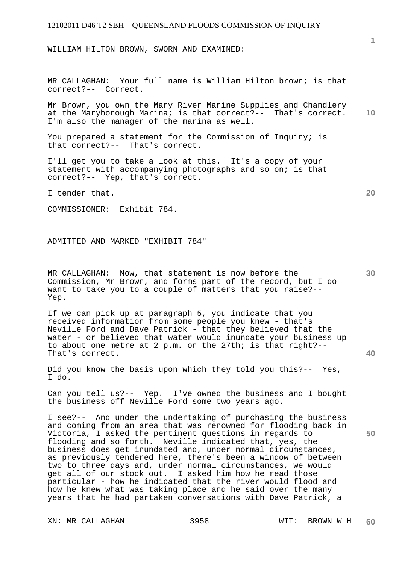WILLIAM HILTON BROWN, SWORN AND EXAMINED:

MR CALLAGHAN: Your full name is William Hilton brown; is that correct?-- Correct.

**10**  Mr Brown, you own the Mary River Marine Supplies and Chandlery at the Maryborough Marina; is that correct?-- That's correct. I'm also the manager of the marina as well.

You prepared a statement for the Commission of Inquiry; is that correct?-- That's correct.

I'll get you to take a look at this. It's a copy of your statement with accompanying photographs and so on; is that correct?-- Yep, that's correct.

I tender that.

COMMISSIONER: Exhibit 784.

ADMITTED AND MARKED "EXHIBIT 784"

MR CALLAGHAN: Now, that statement is now before the Commission, Mr Brown, and forms part of the record, but I do want to take you to a couple of matters that you raise?-- Yep.

If we can pick up at paragraph 5, you indicate that you received information from some people you knew - that's Neville Ford and Dave Patrick - that they believed that the water - or believed that water would inundate your business up to about one metre at 2 p.m. on the 27th; is that right?-- That's correct.

Did you know the basis upon which they told you this?-- Yes, I do.

Can you tell us?-- Yep. I've owned the business and I bought the business off Neville Ford some two years ago.

I see?-- And under the undertaking of purchasing the business and coming from an area that was renowned for flooding back in Victoria, I asked the pertinent questions in regards to flooding and so forth. Neville indicated that, yes, the business does get inundated and, under normal circumstances, as previously tendered here, there's been a window of between two to three days and, under normal circumstances, we would get all of our stock out. I asked him how he read those particular - how he indicated that the river would flood and how he knew what was taking place and he said over the many years that he had partaken conversations with Dave Patrick, a

XN: MR CALLAGHAN 3958 WIT: BROWN W H

**20** 

**1**

**30** 

**50**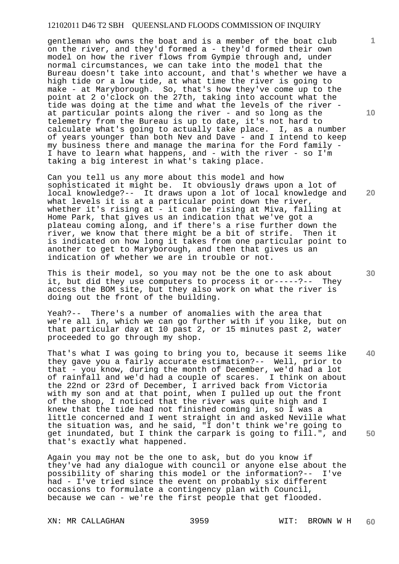gentleman who owns the boat and is a member of the boat club on the river, and they'd formed a - they'd formed their own model on how the river flows from Gympie through and, under normal circumstances, we can take into the model that the Bureau doesn't take into account, and that's whether we have a high tide or a low tide, at what time the river is going to make - at Maryborough. So, that's how they've come up to the point at 2 o'clock on the 27th, taking into account what the tide was doing at the time and what the levels of the river at particular points along the river - and so long as the telemetry from the Bureau is up to date, it's not hard to calculate what's going to actually take place. I, as a number of years younger than both Nev and Dave - and I intend to keep my business there and manage the marina for the Ford family - I have to learn what happens, and - with the river - so I'm taking a big interest in what's taking place.

Can you tell us any more about this model and how sophisticated it might be. It obviously draws upon a lot of local knowledge?-- It draws upon a lot of local knowledge and what levels it is at a particular point down the river, whether it's rising at - it can be rising at Miva, falling at Home Park, that gives us an indication that we've got a plateau coming along, and if there's a rise further down the river, we know that there might be a bit of strife. Then it is indicated on how long it takes from one particular point to another to get to Maryborough, and then that gives us an indication of whether we are in trouble or not.

This is their model, so you may not be the one to ask about it, but did they use computers to process it or-----?-- They access the BOM site, but they also work on what the river is doing out the front of the building.

Yeah?-- There's a number of anomalies with the area that we're all in, which we can go further with if you like, but on that particular day at 10 past 2, or 15 minutes past 2, water proceeded to go through my shop.

**40 50**  That's what I was going to bring you to, because it seems like they gave you a fairly accurate estimation?-- Well, prior to that - you know, during the month of December, we'd had a lot of rainfall and we'd had a couple of scares. I think on about the 22nd or 23rd of December, I arrived back from Victoria with my son and at that point, when I pulled up out the front of the shop, I noticed that the river was quite high and I knew that the tide had not finished coming in, so I was a little concerned and I went straight in and asked Neville what the situation was, and he said, "I don't think we're going to get inundated, but I think the carpark is going to fill.", and that's exactly what happened.

Again you may not be the one to ask, but do you know if they've had any dialogue with council or anyone else about the possibility of sharing this model or the information?-- I've had - I've tried since the event on probably six different occasions to formulate a contingency plan with Council, because we can - we're the first people that get flooded.

XN: MR CALLAGHAN 3959 WIT: BROWN W H

**10** 

**1**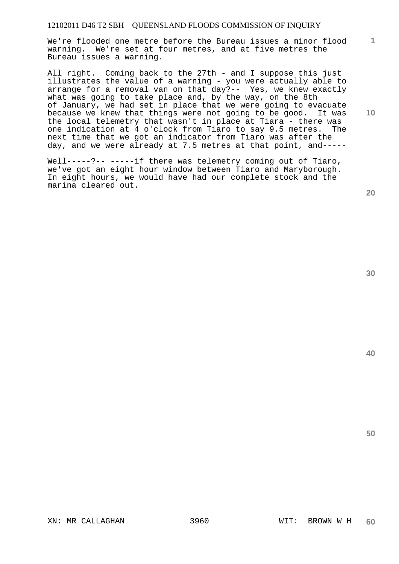We're flooded one metre before the Bureau issues a minor flood warning. We're set at four metres, and at five metres the Bureau issues a warning.

All right. Coming back to the 27th - and I suppose this just illustrates the value of a warning - you were actually able to arrange for a removal van on that day?-- Yes, we knew exactly what was going to take place and, by the way, on the 8th of January, we had set in place that we were going to evacuate because we knew that things were not going to be good. It was the local telemetry that wasn't in place at Tiara - there was one indication at 4 o'clock from Tiaro to say 9.5 metres. The next time that we got an indicator from Tiaro was after the day, and we were already at 7.5 metres at that point, and-----

Well-----?-- -----if there was telemetry coming out of Tiaro, we've got an eight hour window between Tiaro and Maryborough. In eight hours, we would have had our complete stock and the marina cleared out.

**20** 

**1**

**10** 

**40**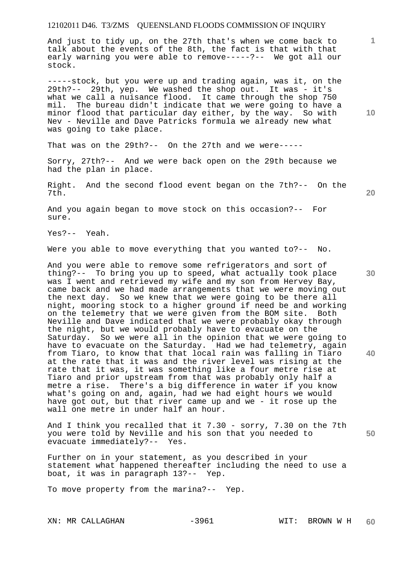And just to tidy up, on the 27th that's when we come back to talk about the events of the 8th, the fact is that with that early warning you were able to remove-----?-- We got all our stock.

-----stock, but you were up and trading again, was it, on the 29th?-- 29th, yep. We washed the shop out. It was - it's what we call a nuisance flood. It came through the shop 750 mil. The bureau didn't indicate that we were going to have a minor flood that particular day either, by the way. So with Nev - Neville and Dave Patricks formula we already new what was going to take place.

That was on the 29th?-- On the 27th and we were-----

Sorry, 27th?-- And we were back open on the 29th because we had the plan in place.

Right. And the second flood event began on the 7th?-- On the 7th.

And you again began to move stock on this occasion?-- For sure.

Yes?-- Yeah.

Were you able to move everything that you wanted to?-- No.

And you were able to remove some refrigerators and sort of thing?-- To bring you up to speed, what actually took place was I went and retrieved my wife and my son from Hervey Bay, came back and we had made arrangements that we were moving out the next day. So we knew that we were going to be there all night, mooring stock to a higher ground if need be and working on the telemetry that we were given from the BOM site. Both Neville and Dave indicated that we were probably okay through the night, but we would probably have to evacuate on the Saturday. So we were all in the opinion that we were going to have to evacuate on the Saturday. Had we had telemetry, again from Tiaro, to know that that local rain was falling in Tiaro at the rate that it was and the river level was rising at the rate that it was, it was something like a four metre rise at Tiaro and prior upstream from that was probably only half a metre a rise. There's a big difference in water if you know what's going on and, again, had we had eight hours we would have got out, but that river came up and we - it rose up the wall one metre in under half an hour.

And I think you recalled that it 7.30 - sorry, 7.30 on the 7th you were told by Neville and his son that you needed to evacuate immediately?-- Yes.

Further on in your statement, as you described in your statement what happened thereafter including the need to use a boat, it was in paragraph 13?-- Yep.

To move property from the marina?-- Yep.

XN: MR CALLAGHAN -3961 WIT: BROWN W H

**10** 

**1**

**20** 

**30** 

**40**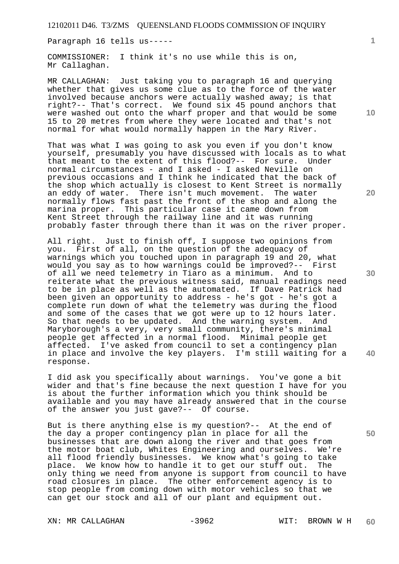Paragraph 16 tells us-----

COMMISSIONER: I think it's no use while this is on, Mr Callaghan.

MR CALLAGHAN: Just taking you to paragraph 16 and querying whether that gives us some clue as to the force of the water involved because anchors were actually washed away; is that right?-- That's correct. We found six 45 pound anchors that were washed out onto the wharf proper and that would be some 15 to 20 metres from where they were located and that's not normal for what would normally happen in the Mary River.

That was what I was going to ask you even if you don't know yourself, presumably you have discussed with locals as to what that meant to the extent of this flood?-- For sure. Under normal circumstances - and I asked - I asked Neville on previous occasions and I think he indicated that the back of the shop which actually is closest to Kent Street is normally an eddy of water. There isn't much movement. The water normally flows fast past the front of the shop and along the marina proper. This particular case it came down from Kent Street through the railway line and it was running probably faster through there than it was on the river proper.

All right. Just to finish off, I suppose two opinions from you. First of all, on the question of the adequacy of warnings which you touched upon in paragraph 19 and 20, what would you say as to how warnings could be improved?-- First of all we need telemetry in Tiaro as a minimum. And to reiterate what the previous witness said, manual readings need to be in place as well as the automated. If Dave Patrick had been given an opportunity to address - he's got - he's got a complete run down of what the telemetry was during the flood and some of the cases that we got were up to 12 hours later. So that needs to be updated. And the warning system. And Maryborough's a very, very small community, there's minimal people get affected in a normal flood. Minimal people get affected. I've asked from council to set a contingency plan in place and involve the key players. I'm still waiting for a response.

I did ask you specifically about warnings. You've gone a bit wider and that's fine because the next question I have for you is about the further information which you think should be available and you may have already answered that in the course of the answer you just gave?-- Of course.

But is there anything else is my question?-- At the end of the day a proper contingency plan in place for all the businesses that are down along the river and that goes from the motor boat club, Whites Engineering and ourselves. We're all flood friendly businesses. We know what's going to take place. We know how to handle it to get our stuff out. The only thing we need from anyone is support from council to have road closures in place. The other enforcement agency is to stop people from coming down with motor vehicles so that we can get our stock and all of our plant and equipment out.

XN: MR CALLAGHAN -3962 WIT: BROWN W H

**1**

**30** 

**20** 



**40**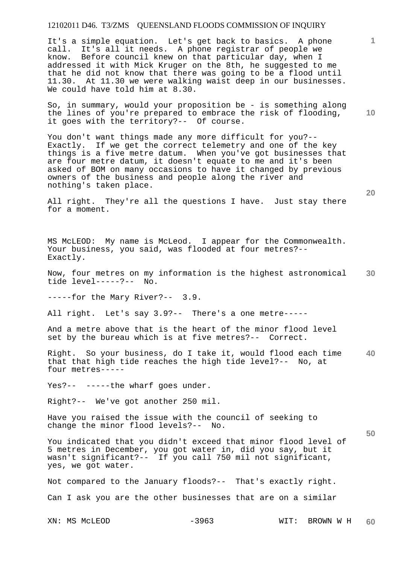It's a simple equation. Let's get back to basics. A phone call. It's all it needs. A phone registrar of people we know. Before council knew on that particular day, when I addressed it with Mick Kruger on the 8th, he suggested to me that he did not know that there was going to be a flood until 11.30. At 11.30 we were walking waist deep in our businesses. We could have told him at 8.30.

So, in summary, would your proposition be - is something along the lines of you're prepared to embrace the risk of flooding, it goes with the territory?-- Of course.

You don't want things made any more difficult for you?-- Exactly. If we get the correct telemetry and one of the key things is a five metre datum. When you've got businesses that are four metre datum, it doesn't equate to me and it's been asked of BOM on many occasions to have it changed by previous owners of the business and people along the river and nothing's taken place.

All right. They're all the questions I have. Just stay there for a moment.

MS McLEOD: My name is McLeod. I appear for the Commonwealth. Your business, you said, was flooded at four metres?-- Exactly.

**30**  Now, four metres on my information is the highest astronomical tide level-----?-- No.

-----for the Mary River?-- 3.9.

All right. Let's say 3.9?-- There's a one metre-----

And a metre above that is the heart of the minor flood level set by the bureau which is at five metres?-- Correct.

**40**  Right. So your business, do I take it, would flood each time that that high tide reaches the high tide level?-- No, at four metres-----

Yes?-- -----the wharf goes under.

Right?-- We've got another 250 mil.

Have you raised the issue with the council of seeking to change the minor flood levels?-- No.

You indicated that you didn't exceed that minor flood level of 5 metres in December, you got water in, did you say, but it wasn't significant?-- If you call 750 mil not significant, yes, we got water.

Not compared to the January floods?-- That's exactly right. Can I ask you are the other businesses that are on a similar

**10** 

**20** 

**50**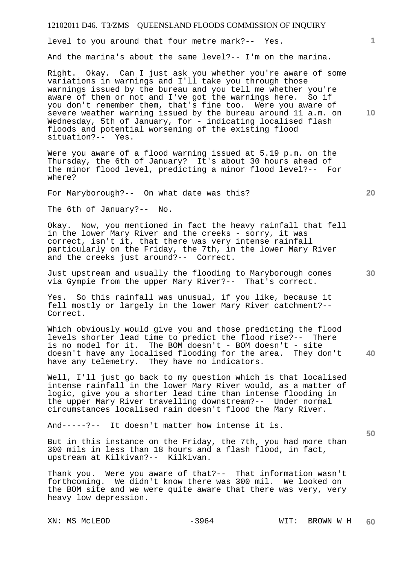level to you around that four metre mark?-- Yes.

And the marina's about the same level?-- I'm on the marina.

Right. Okay. Can I just ask you whether you're aware of some variations in warnings and I'll take you through those warnings issued by the bureau and you tell me whether you're aware of them or not and I've got the warnings here. So if you don't remember them, that's fine too. Were you aware of severe weather warning issued by the bureau around 11 a.m. on Wednesday, 5th of January, for - indicating localised flash floods and potential worsening of the existing flood situation?-- Yes.

Were you aware of a flood warning issued at 5.19 p.m. on the Thursday, the 6th of January? It's about 30 hours ahead of the minor flood level, predicting a minor flood level?-- For where?

For Maryborough?-- On what date was this?

The 6th of January?-- No.

Okay. Now, you mentioned in fact the heavy rainfall that fell in the lower Mary River and the creeks - sorry, it was correct, isn't it, that there was very intense rainfall particularly on the Friday, the 7th, in the lower Mary River and the creeks just around?-- Correct.

Just upstream and usually the flooding to Maryborough comes via Gympie from the upper Mary River?-- That's correct.

Yes. So this rainfall was unusual, if you like, because it fell mostly or largely in the lower Mary River catchment?-- Correct.

**40**  Which obviously would give you and those predicting the flood levels shorter lead time to predict the flood rise?-- There is no model for it. The BOM doesn't - BOM doesn't - site doesn't have any localised flooding for the area. They don't have any telemetry. They have no indicators.

Well, I'll just go back to my question which is that localised intense rainfall in the lower Mary River would, as a matter of logic, give you a shorter lead time than intense flooding in the upper Mary River travelling downstream?-- Under normal circumstances localised rain doesn't flood the Mary River.

And-----?-- It doesn't matter how intense it is.

But in this instance on the Friday, the 7th, you had more than 300 mils in less than 18 hours and a flash flood, in fact, upstream at Kilkivan?-- Kilkivan.

Thank you. Were you aware of that?-- That information wasn't forthcoming. We didn't know there was 300 mil. We looked on the BOM site and we were quite aware that there was very, very heavy low depression.

**10** 

**1**

**20** 

**30**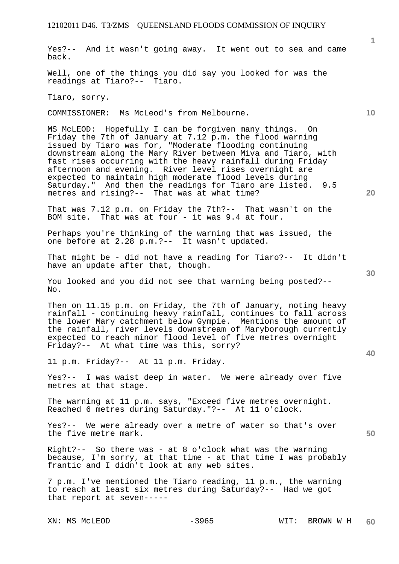Yes?-- And it wasn't going away. It went out to sea and came back.

Well, one of the things you did say you looked for was the readings at Tiaro?-- Tiaro.

Tiaro, sorry.

COMMISSIONER: Ms McLeod's from Melbourne.

MS McLEOD: Hopefully I can be forgiven many things. On Friday the 7th of January at 7.12 p.m. the flood warning issued by Tiaro was for, "Moderate flooding continuing downstream along the Mary River between Miva and Tiaro, with fast rises occurring with the heavy rainfall during Friday afternoon and evening. River level rises overnight are expected to maintain high moderate flood levels during Saturday." And then the readings for Tiaro are listed. 9.5 metres and rising?-- That was at what time?

That was 7.12 p.m. on Friday the 7th?-- That wasn't on the BOM site. That was at four - it was 9.4 at four.

Perhaps you're thinking of the warning that was issued, the one before at 2.28 p.m.?-- It wasn't updated.

That might be - did not have a reading for Tiaro?-- It didn't have an update after that, though.

You looked and you did not see that warning being posted?-- No.

Then on 11.15 p.m. on Friday, the 7th of January, noting heavy rainfall - continuing heavy rainfall, continues to fall across the lower Mary catchment below Gympie. Mentions the amount of the rainfall, river levels downstream of Maryborough currently expected to reach minor flood level of five metres overnight Friday?-- At what time was this, sorry?

11 p.m. Friday?-- At 11 p.m. Friday.

Yes?-- I was waist deep in water. We were already over five metres at that stage.

The warning at 11 p.m. says, "Exceed five metres overnight. Reached 6 metres during Saturday."?-- At 11 o'clock.

Yes?-- We were already over a metre of water so that's over the five metre mark.

Right?-- So there was - at 8 o'clock what was the warning because, I'm sorry, at that time - at that time I was probably frantic and I didn't look at any web sites.

7 p.m. I've mentioned the Tiaro reading, 11 p.m., the warning to reach at least six metres during Saturday?-- Had we got that report at seven-----

**20** 

**10** 

**1**

**30** 

**40**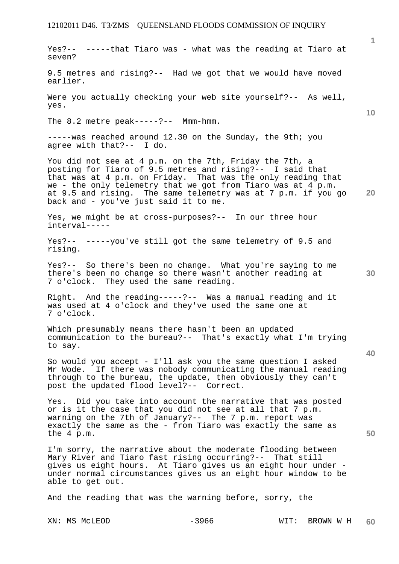**1 10 20 30 40 50**  Yes?-- -----that Tiaro was - what was the reading at Tiaro at seven? 9.5 metres and rising?-- Had we got that we would have moved earlier. Were you actually checking your web site yourself?-- As well, yes. The 8.2 metre peak-----?-- Mmm-hmm. -----was reached around 12.30 on the Sunday, the 9th; you agree with that?-- I do. You did not see at 4 p.m. on the 7th, Friday the 7th, a posting for Tiaro of 9.5 metres and rising?-- I said that that was at 4 p.m. on Friday. That was the only reading that we - the only telemetry that we got from Tiaro was at 4 p.m. at 9.5 and rising. The same telemetry was at 7 p.m. if you go back and - you've just said it to me. Yes, we might be at cross-purposes?-- In our three hour interval----- Yes?-- -----you've still got the same telemetry of 9.5 and rising. Yes?-- So there's been no change. What you're saying to me there's been no change so there wasn't another reading at 7 o'clock. They used the same reading. Right. And the reading-----?-- Was a manual reading and it was used at 4 o'clock and they've used the same one at 7 o'clock. Which presumably means there hasn't been an updated communication to the bureau?-- That's exactly what I'm trying to say. So would you accept - I'll ask you the same question I asked Mr Wode. If there was nobody communicating the manual reading through to the bureau, the update, then obviously they can't post the updated flood level?-- Correct. Yes. Did you take into account the narrative that was posted or is it the case that you did not see at all that 7 p.m. warning on the 7th of January?-- The 7 p.m. report was exactly the same as the - from Tiaro was exactly the same as the 4 p.m. I'm sorry, the narrative about the moderate flooding between Mary River and Tiaro fast rising occurring?-- That still gives us eight hours. At Tiaro gives us an eight hour under under normal circumstances gives us an eight hour window to be able to get out. And the reading that was the warning before, sorry, the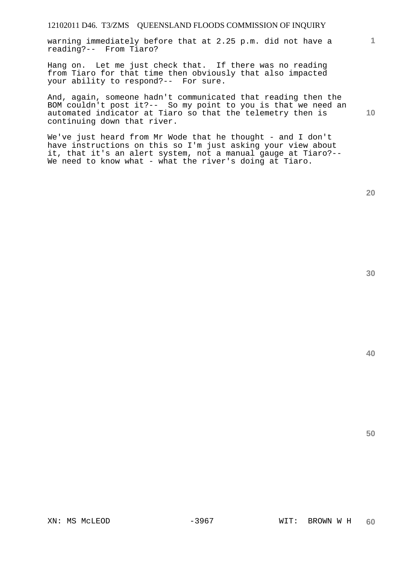warning immediately before that at 2.25 p.m. did not have a reading?-- From Tiaro?

Hang on. Let me just check that. If there was no reading from Tiaro for that time then obviously that also impacted your ability to respond?-- For sure.

And, again, someone hadn't communicated that reading then the BOM couldn't post it?-- So my point to you is that we need an automated indicator at Tiaro so that the telemetry then is continuing down that river.

We've just heard from Mr Wode that he thought - and I don't have instructions on this so I'm just asking your view about it, that it's an alert system, not a manual gauge at Tiaro?-- We need to know what - what the river's doing at Tiaro.

**20** 

**40** 

**50** 

**1**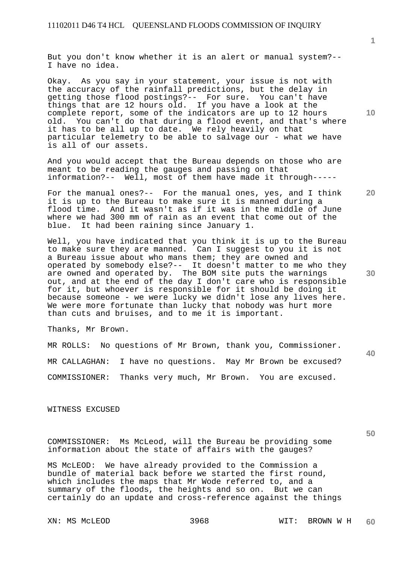But you don't know whether it is an alert or manual system?-- I have no idea.

Okay. As you say in your statement, your issue is not with the accuracy of the rainfall predictions, but the delay in getting those flood postings?-- For sure. You can't have things that are 12 hours old. If you have a look at the complete report, some of the indicators are up to 12 hours old. You can't do that during a flood event, and that's where it has to be all up to date. We rely heavily on that particular telemetry to be able to salvage our - what we have is all of our assets.

And you would accept that the Bureau depends on those who are meant to be reading the gauges and passing on that information?-- Well, most of them have made it through-----

For the manual ones?-- For the manual ones, yes, and I think it is up to the Bureau to make sure it is manned during a flood time. And it wasn't as if it was in the middle of June where we had 300 mm of rain as an event that come out of the blue. It had been raining since January 1.

Well, you have indicated that you think it is up to the Bureau to make sure they are manned. Can I suggest to you it is not a Bureau issue about who mans them; they are owned and operated by somebody else?-- It doesn't matter to me who they are owned and operated by. The BOM site puts the warnings out, and at the end of the day I don't care who is responsible for it, but whoever is responsible for it should be doing it because someone - we were lucky we didn't lose any lives here. We were more fortunate than lucky that nobody was hurt more than cuts and bruises, and to me it is important.

Thanks, Mr Brown.

MR ROLLS: No questions of Mr Brown, thank you, Commissioner. MR CALLAGHAN: I have no questions. May Mr Brown be excused? COMMISSIONER: Thanks very much, Mr Brown. You are excused.

WITNESS EXCUSED

COMMISSIONER: Ms McLeod, will the Bureau be providing some information about the state of affairs with the gauges?

MS McLEOD: We have already provided to the Commission a bundle of material back before we started the first round, which includes the maps that Mr Wode referred to, and a summary of the floods, the heights and so on. But we can certainly do an update and cross-reference against the things

**10** 

**20** 

**40** 

**50**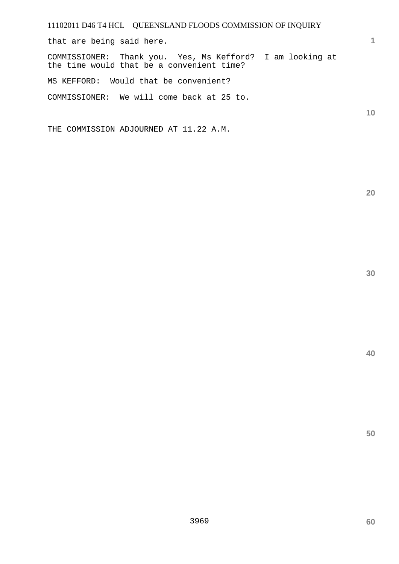that are being said here.

COMMISSIONER: Thank you. Yes, Ms Kefford? I am looking at the time would that be a convenient time?

MS KEFFORD: Would that be convenient?

COMMISSIONER: We will come back at 25 to.

THE COMMISSION ADJOURNED AT 11.22 A.M.

**20** 

**1**

**10**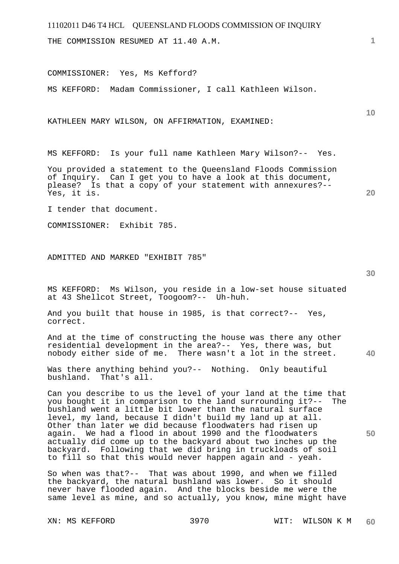THE COMMISSION RESUMED AT 11.40 A.M.

COMMISSIONER: Yes, Ms Kefford?

MS KEFFORD: Madam Commissioner, I call Kathleen Wilson.

KATHLEEN MARY WILSON, ON AFFIRMATION, EXAMINED:

MS KEFFORD: Is your full name Kathleen Mary Wilson?-- Yes.

You provided a statement to the Queensland Floods Commission of Inquiry. Can I get you to have a look at this document, please? Is that a copy of your statement with annexures?-- Yes, it is.

I tender that document.

COMMISSIONER: Exhibit 785.

ADMITTED AND MARKED "EXHIBIT 785"

MS KEFFORD: Ms Wilson, you reside in a low-set house situated at 43 Shellcot Street, Toogoom?-- Uh-huh.

And you built that house in 1985, is that correct?-- Yes, correct.

**40**  And at the time of constructing the house was there any other residential development in the area?-- Yes, there was, but nobody either side of me. There wasn't a lot in the street.

Was there anything behind you?-- Nothing. Only beautiful bushland. That's all.

Can you describe to us the level of your land at the time that you bought it in comparison to the land surrounding it?-- The bushland went a little bit lower than the natural surface level, my land, because I didn't build my land up at all. Other than later we did because floodwaters had risen up again. We had a flood in about 1990 and the floodwaters actually did come up to the backyard about two inches up the backyard. Following that we did bring in truckloads of soil to fill so that this would never happen again and - yeah.

So when was that?-- That was about 1990, and when we filled the backyard, the natural bushland was lower. So it should never have flooded again. And the blocks beside me were the same level as mine, and so actually, you know, mine might have

**30** 

**20** 

**10**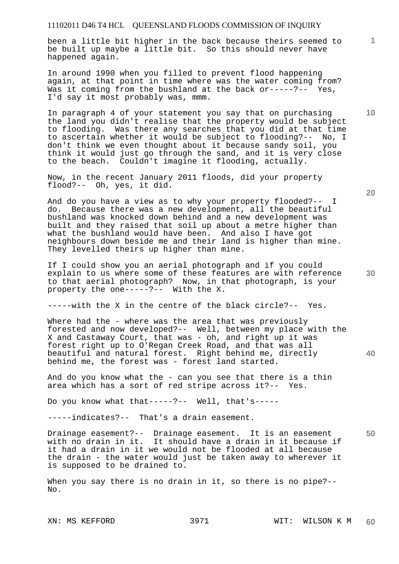been a little bit higher in the back because theirs seemed to be built up maybe a little bit. So this should never have happened again.

In around 1990 when you filled to prevent flood happening again, at that point in time where was the water coming from? Was it coming from the bushland at the back or-----?-- Yes, I'd say it most probably was, mmm.

In paragraph 4 of your statement you say that on purchasing the land you didn't realise that the property would be subject to flooding. Was there any searches that you did at that time to ascertain whether it would be subject to flooding?-- No, I don't think we even thought about it because sandy soil, you think it would just go through the sand, and it is very close to the beach. Couldn't imagine it flooding, actually.

Now, in the recent January 2011 floods, did your property flood?-- Oh, yes, it did.

And do you have a view as to why your property flooded?-- I do. Because there was a new development, all the beautiful bushland was knocked down behind and a new development was built and they raised that soil up about a metre higher than what the bushland would have been. And also I have got neighbours down beside me and their land is higher than mine. They levelled theirs up higher than mine.

If I could show you an aerial photograph and if you could explain to us where some of these features are with reference to that aerial photograph? Now, in that photograph, is your property the one-----?-- With the X.

-----with the X in the centre of the black circle?-- Yes.

Where had the - where was the area that was previously forested and now developed?-- Well, between my place with the X and Castaway Court, that was - oh, and right up it was forest right up to O'Regan Creek Road, and that was all beautiful and natural forest. Right behind me, directly behind me, the forest was - forest land started.

And do you know what the - can you see that there is a thin area which has a sort of red stripe across it?-- Yes.

Do you know what that-----?-- Well, that's-----

-----indicates?-- That's a drain easement.

**50**  Drainage easement?-- Drainage easement. It is an easement with no drain in it. It should have a drain in it because if it had a drain in it we would not be flooded at all because the drain - the water would just be taken away to wherever it is supposed to be drained to.

When you say there is no drain in it, so there is no pipe?--No.

**20** 

**40** 

**10**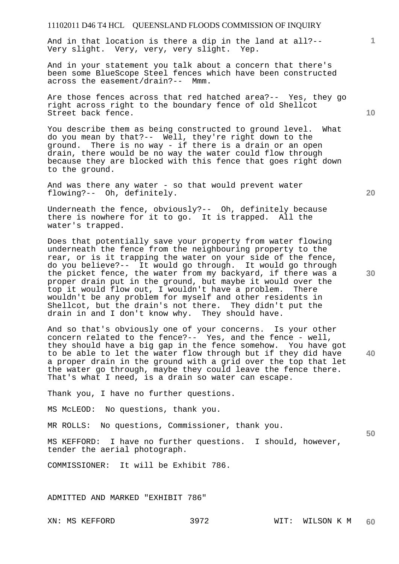And in that location is there a dip in the land at all?-- Very slight. Very, very, very slight. Yep.

And in your statement you talk about a concern that there's been some BlueScope Steel fences which have been constructed across the easement/drain?-- Mmm.

Are those fences across that red hatched area?-- Yes, they go right across right to the boundary fence of old Shellcot Street back fence.

You describe them as being constructed to ground level. What do you mean by that?-- Well, they're right down to the ground. There is no way - if there is a drain or an open drain, there would be no way the water could flow through because they are blocked with this fence that goes right down to the ground.

And was there any water - so that would prevent water flowing?-- Oh, definitely.

Underneath the fence, obviously?-- Oh, definitely because there is nowhere for it to go. It is trapped. All the water's trapped.

Does that potentially save your property from water flowing underneath the fence from the neighbouring property to the rear, or is it trapping the water on your side of the fence, do you believe?-- It would go through. It would go through the picket fence, the water from my backyard, if there was a proper drain put in the ground, but maybe it would over the top it would flow out, I wouldn't have a problem. There wouldn't be any problem for myself and other residents in Shellcot, but the drain's not there. They didn't put the drain in and I don't know why. They should have.

**40**  And so that's obviously one of your concerns. Is your other concern related to the fence?-- Yes, and the fence - well, they should have a big gap in the fence somehow. You have got to be able to let the water flow through but if they did have a proper drain in the ground with a grid over the top that let the water go through, maybe they could leave the fence there. That's what I need, is a drain so water can escape.

Thank you, I have no further questions.

MS McLEOD: No questions, thank you.

MR ROLLS: No questions, Commissioner, thank you.

MS KEFFORD: I have no further questions. I should, however, tender the aerial photograph.

COMMISSIONER: It will be Exhibit 786.

ADMITTED AND MARKED "EXHIBIT 786"

**20** 

**50** 

**10**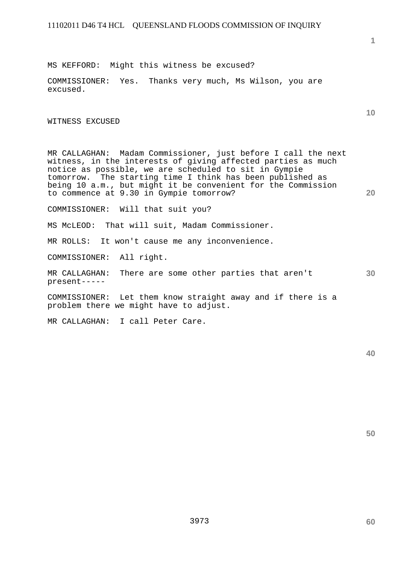**1**

**10** 

**20** 

MS KEFFORD: Might this witness be excused?

COMMISSIONER: Yes. Thanks very much, Ms Wilson, you are excused.

WITNESS EXCUSED

MR CALLAGHAN: Madam Commissioner, just before I call the next witness, in the interests of giving affected parties as much notice as possible, we are scheduled to sit in Gympie tomorrow. The starting time I think has been published as being 10 a.m., but might it be convenient for the Commission to commence at 9.30 in Gympie tomorrow?

COMMISSIONER: Will that suit you?

MS McLEOD: That will suit, Madam Commissioner.

MR ROLLS: It won't cause me any inconvenience.

COMMISSIONER: All right.

MR CALLAGHAN: There are some other parties that aren't present-----

COMMISSIONER: Let them know straight away and if there is a problem there we might have to adjust.

MR CALLAGHAN: I call Peter Care.

**40** 

**50**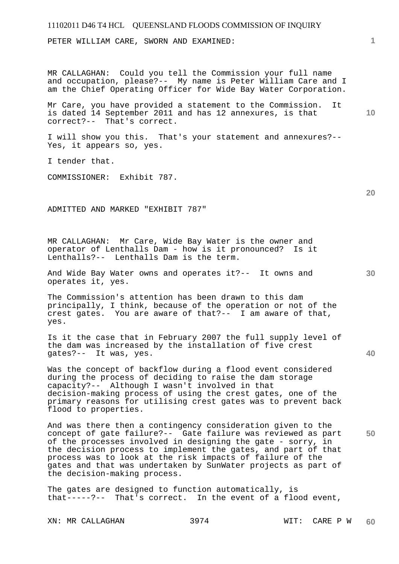| 11102011 D46 T4 HCL QUEENSLAND FLOODS COMMISSION OF INQUIRY                                                                                                                                                                                                                                                                          |    |
|--------------------------------------------------------------------------------------------------------------------------------------------------------------------------------------------------------------------------------------------------------------------------------------------------------------------------------------|----|
| PETER WILLIAM CARE, SWORN AND EXAMINED:                                                                                                                                                                                                                                                                                              | 1  |
| MR CALLAGHAN: Could you tell the Commission your full name<br>and occupation, please?-- My name is Peter William Care and I<br>am the Chief Operating Officer for Wide Bay Water Corporation.                                                                                                                                        |    |
| Mr Care, you have provided a statement to the Commission.<br>It<br>is dated 14 September 2011 and has 12 annexures, is that<br>correct?-- That's correct.                                                                                                                                                                            | 10 |
| I will show you this. That's your statement and annexures?--<br>Yes, it appears so, yes.                                                                                                                                                                                                                                             |    |
| I tender that.                                                                                                                                                                                                                                                                                                                       |    |
| COMMISSIONER: Exhibit 787.                                                                                                                                                                                                                                                                                                           |    |
|                                                                                                                                                                                                                                                                                                                                      | 20 |
| ADMITTED AND MARKED "EXHIBIT 787"                                                                                                                                                                                                                                                                                                    |    |
| MR CALLAGHAN: Mr Care, Wide Bay Water is the owner and<br>operator of Lenthalls Dam - how is it pronounced? Is it<br>Lenthalls?-- Lenthalls Dam is the term.                                                                                                                                                                         |    |
| And Wide Bay Water owns and operates it ?-- It owns and<br>operates it, yes.                                                                                                                                                                                                                                                         | 30 |
| The Commission's attention has been drawn to this dam<br>principally, I think, because of the operation or not of the<br>crest gates. You are aware of that ?-- I am aware of that,<br>yes.                                                                                                                                          |    |
| Is it the case that in February 2007 the full supply level of<br>the dam was increased by the installation of five crest<br>qates?--<br>It was, yes.                                                                                                                                                                                 | 40 |
| Was the concept of backflow during a flood event considered<br>during the process of deciding to raise the dam storage<br>Although I wasn't involved in that<br>capacity?--<br>decision-making process of using the crest gates, one of the<br>primary reasons for utilising crest gates was to prevent back<br>flood to properties. |    |
| And was there then a contingency consideration given to the<br>concept of gate failure?-- Gate failure was reviewed as part<br>of the processes involved in designing the gate - sorry, in<br>the decision process to implement the gates, and part of that<br>process was to look at the risk impacts of failure of the             | 50 |

The gates are designed to function automatically, is that-----?-- That's correct. In the event of a flood event,

gates and that was undertaken by SunWater projects as part of

the decision-making process.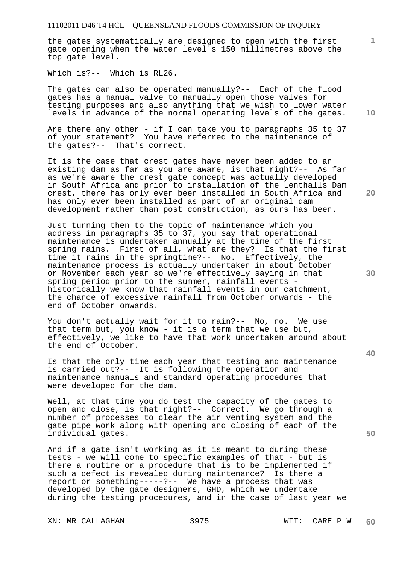the gates systematically are designed to open with the first gate opening when the water level's 150 millimetres above the top gate level.

Which is?-- Which is RL26.

The gates can also be operated manually?-- Each of the flood gates has a manual valve to manually open those valves for testing purposes and also anything that we wish to lower water levels in advance of the normal operating levels of the gates.

Are there any other - if I can take you to paragraphs 35 to 37 of your statement? You have referred to the maintenance of the gates?-- That's correct.

It is the case that crest gates have never been added to an existing dam as far as you are aware, is that right?-- As far as we're aware the crest gate concept was actually developed in South Africa and prior to installation of the Lenthalls Dam crest, there has only ever been installed in South Africa and has only ever been installed as part of an original dam development rather than post construction, as ours has been.

Just turning then to the topic of maintenance which you address in paragraphs 35 to 37, you say that operational maintenance is undertaken annually at the time of the first spring rains. First of all, what are they? Is that the first time it rains in the springtime?-- No. Effectively, the maintenance process is actually undertaken in about October or November each year so we're effectively saying in that spring period prior to the summer, rainfall events historically we know that rainfall events in our catchment, the chance of excessive rainfall from October onwards - the end of October onwards.

You don't actually wait for it to rain?-- No, no. We use that term but, you know - it is a term that we use but, effectively, we like to have that work undertaken around about the end of October.

Is that the only time each year that testing and maintenance is carried out?-- It is following the operation and maintenance manuals and standard operating procedures that were developed for the dam.

Well, at that time you do test the capacity of the gates to open and close, is that right?-- Correct. We go through a number of processes to clear the air venting system and the gate pipe work along with opening and closing of each of the individual gates.

And if a gate isn't working as it is meant to during these tests - we will come to specific examples of that - but is there a routine or a procedure that is to be implemented if such a defect is revealed during maintenance? Is there a report or something-----?-- We have a process that was developed by the gate designers, GHD, which we undertake during the testing procedures, and in the case of last year we

XN: MR CALLAGHAN 3975 WIT: CARE P W

**10** 

**20** 

**40** 

**30** 

**50**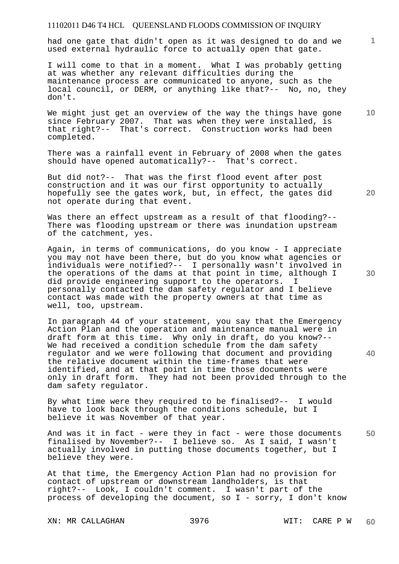had one gate that didn't open as it was designed to do and we used external hydraulic force to actually open that gate.

I will come to that in a moment. What I was probably getting at was whether any relevant difficulties during the maintenance process are communicated to anyone, such as the local council, or DERM, or anything like that?-- No, no, they don't.

**10**  We might just get an overview of the way the things have gone since February 2007. That was when they were installed, is that right?-- That's correct. Construction works had been completed.

There was a rainfall event in February of 2008 when the gates should have opened automatically?-- That's correct.

But did not?-- That was the first flood event after post construction and it was our first opportunity to actually hopefully see the gates work, but, in effect, the gates did not operate during that event.

Was there an effect upstream as a result of that flooding?-- There was flooding upstream or there was inundation upstream of the catchment, yes.

Again, in terms of communications, do you know - I appreciate you may not have been there, but do you know what agencies or individuals were notified?-- I personally wasn't involved in the operations of the dams at that point in time, although I did provide engineering support to the operators. I personally contacted the dam safety regulator and I believe contact was made with the property owners at that time as well, too, upstream.

In paragraph 44 of your statement, you say that the Emergency Action Plan and the operation and maintenance manual were in draft form at this time. Why only in draft, do you know?-- We had received a condition schedule from the dam safety regulator and we were following that document and providing the relative document within the time-frames that were identified, and at that point in time those documents were only in draft form. They had not been provided through to the dam safety regulator.

By what time were they required to be finalised?-- I would have to look back through the conditions schedule, but I believe it was November of that year.

**50**  And was it in fact - were they in fact - were those documents finalised by November?-- I believe so. As I said, I wasn't actually involved in putting those documents together, but I believe they were.

At that time, the Emergency Action Plan had no provision for contact of upstream or downstream landholders, is that right?-- Look, I couldn't comment. I wasn't part of the process of developing the document, so I - sorry, I don't know

XN: MR CALLAGHAN 3976 WIT: CARE P W

**1**

**30**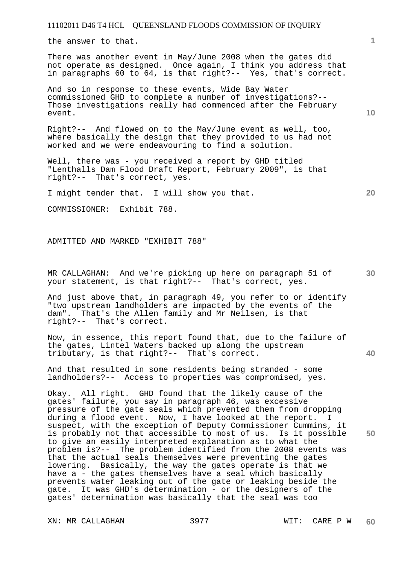the answer to that.

There was another event in May/June 2008 when the gates did not operate as designed. Once again, I think you address that in paragraphs 60 to 64, is that right?-- Yes, that's correct.

And so in response to these events, Wide Bay Water commissioned GHD to complete a number of investigations?-- Those investigations really had commenced after the February event.

Right?-- And flowed on to the May/June event as well, too, where basically the design that they provided to us had not worked and we were endeavouring to find a solution.

Well, there was - you received a report by GHD titled "Lenthalls Dam Flood Draft Report, February 2009", is that right?-- That's correct, yes.

I might tender that. I will show you that.

COMMISSIONER: Exhibit 788.

ADMITTED AND MARKED "EXHIBIT 788"

**30**  MR CALLAGHAN: And we're picking up here on paragraph 51 of your statement, is that right?-- That's correct, yes.

And just above that, in paragraph 49, you refer to or identify "two upstream landholders are impacted by the events of the dam". That's the Allen family and Mr Neilsen, is that right?-- That's correct.

Now, in essence, this report found that, due to the failure of the gates, Lintel Waters backed up along the upstream tributary, is that right?-- That's correct.

And that resulted in some residents being stranded - some landholders?-- Access to properties was compromised, yes.

**50**  Okay. All right. GHD found that the likely cause of the gates' failure, you say in paragraph 46, was excessive pressure of the gate seals which prevented them from dropping during a flood event. Now, I have looked at the report. I suspect, with the exception of Deputy Commissioner Cummins, it is probably not that accessible to most of us. Is it possible to give an easily interpreted explanation as to what the problem is?-- The problem identified from the 2008 events was that the actual seals themselves were preventing the gates lowering. Basically, the way the gates operate is that we have a - the gates themselves have a seal which basically prevents water leaking out of the gate or leaking beside the gate. It was GHD's determination - or the designers of the gates' determination was basically that the seal was too

XN: MR CALLAGHAN 3977 WIT: CARE P W

**10** 

**1**

**40**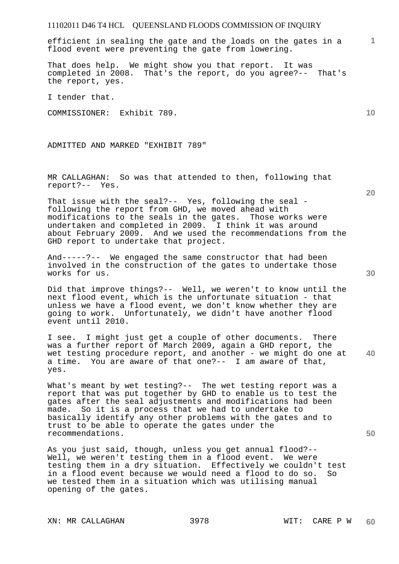efficient in sealing the gate and the loads on the gates in a flood event were preventing the gate from lowering.

That does help. We might show you that report. It was completed in 2008. That's the report, do you agree?-- That's the report, yes.

I tender that.

COMMISSIONER: Exhibit 789.

ADMITTED AND MARKED "EXHIBIT 789"

MR CALLAGHAN: So was that attended to then, following that report?-- Yes.

That issue with the seal?-- Yes, following the seal following the report from GHD, we moved ahead with modifications to the seals in the gates. Those works were undertaken and completed in 2009. I think it was around about February 2009. And we used the recommendations from the GHD report to undertake that project.

And-----?-- We engaged the same constructor that had been involved in the construction of the gates to undertake those works for us.

Did that improve things?-- Well, we weren't to know until the next flood event, which is the unfortunate situation - that unless we have a flood event, we don't know whether they are going to work. Unfortunately, we didn't have another flood event until 2010.

**40**  I see. I might just get a couple of other documents. There was a further report of March 2009, again a GHD report, the wet testing procedure report, and another - we might do one at a time. You are aware of that one?-- I am aware of that, yes.

What's meant by wet testing?-- The wet testing report was a report that was put together by GHD to enable us to test the gates after the seal adjustments and modifications had been made. So it is a process that we had to undertake to basically identify any other problems with the gates and to trust to be able to operate the gates under the recommendations.

As you just said, though, unless you get annual flood?-- Well, we weren't testing them in a flood event. We were testing them in a dry situation. Effectively we couldn't test in a flood event because we would need a flood to do so. So we tested them in a situation which was utilising manual opening of the gates.

XN: MR CALLAGHAN 3978 WIT: CARE P W

**20** 

**10** 

**30**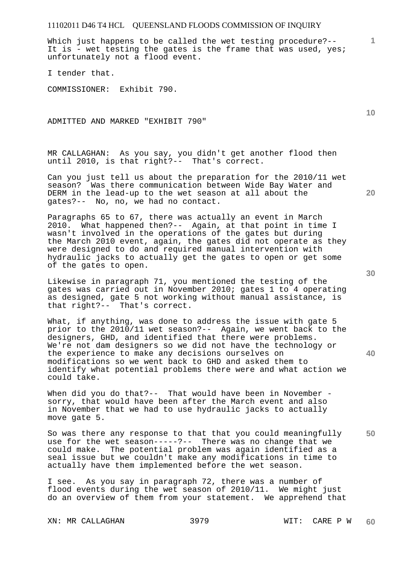Which just happens to be called the wet testing procedure?--It is - wet testing the gates is the frame that was used, yes; unfortunately not a flood event.

I tender that.

COMMISSIONER: Exhibit 790.

ADMITTED AND MARKED "EXHIBIT 790"

MR CALLAGHAN: As you say, you didn't get another flood then until 2010, is that right?-- That's correct.

Can you just tell us about the preparation for the 2010/11 wet season? Was there communication between Wide Bay Water and DERM in the lead-up to the wet season at all about the gates?-- No, no, we had no contact.

Paragraphs 65 to 67, there was actually an event in March 2010. What happened then?-- Again, at that point in time I wasn't involved in the operations of the gates but during the March 2010 event, again, the gates did not operate as they were designed to do and required manual intervention with hydraulic jacks to actually get the gates to open or get some of the gates to open.

Likewise in paragraph 71, you mentioned the testing of the gates was carried out in November 2010; gates 1 to 4 operating as designed, gate 5 not working without manual assistance, is that right?-- That's correct.

What, if anything, was done to address the issue with gate 5 prior to the 2010/11 wet season?-- Again, we went back to the designers, GHD, and identified that there were problems. We're not dam designers so we did not have the technology or the experience to make any decisions ourselves on modifications so we went back to GHD and asked them to identify what potential problems there were and what action we could take.

When did you do that?-- That would have been in November sorry, that would have been after the March event and also in November that we had to use hydraulic jacks to actually move gate 5.

**50**  So was there any response to that that you could meaningfully use for the wet season-----?-- There was no change that we could make. The potential problem was again identified as a seal issue but we couldn't make any modifications in time to actually have them implemented before the wet season.

I see. As you say in paragraph 72, there was a number of flood events during the wet season of 2010/11. We might just do an overview of them from your statement. We apprehend that

XN: MR CALLAGHAN 3979 WIT: CARE P W

**20** 

**10** 

**1**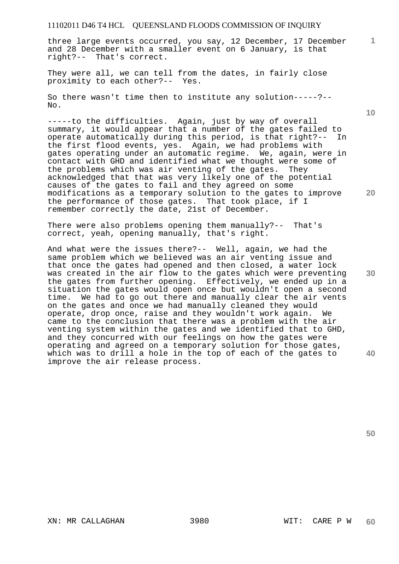three large events occurred, you say, 12 December, 17 December and 28 December with a smaller event on 6 January, is that right?-- That's correct.

They were all, we can tell from the dates, in fairly close proximity to each other?-- Yes.

So there wasn't time then to institute any solution-----?-- No.

-----to the difficulties. Again, just by way of overall summary, it would appear that a number of the gates failed to operate automatically during this period, is that right?-- In the first flood events, yes. Again, we had problems with gates operating under an automatic regime. We, again, were in contact with GHD and identified what we thought were some of the problems which was air venting of the gates. They acknowledged that that was very likely one of the potential causes of the gates to fail and they agreed on some modifications as a temporary solution to the gates to improve the performance of those gates. That took place, if I remember correctly the date, 21st of December.

There were also problems opening them manually?-- That's correct, yeah, opening manually, that's right.

**40**  And what were the issues there?-- Well, again, we had the same problem which we believed was an air venting issue and that once the gates had opened and then closed, a water lock was created in the air flow to the gates which were preventing the gates from further opening. Effectively, we ended up in a situation the gates would open once but wouldn't open a second time. We had to go out there and manually clear the air vents on the gates and once we had manually cleaned they would operate, drop once, raise and they wouldn't work again. We came to the conclusion that there was a problem with the air venting system within the gates and we identified that to GHD, and they concurred with our feelings on how the gates were operating and agreed on a temporary solution for those gates, which was to drill a hole in the top of each of the gates to improve the air release process.

**30** 

**50** 

**1**

**20**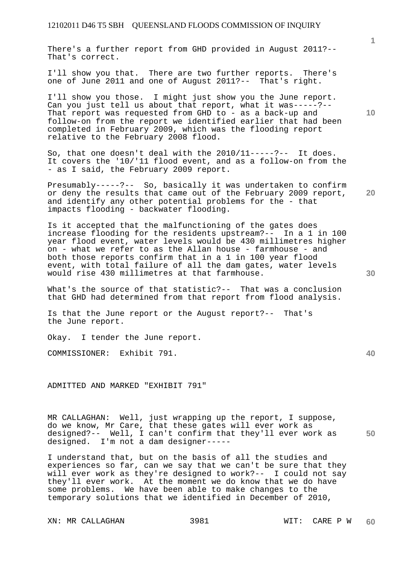There's a further report from GHD provided in August 2011?-- That's correct.

I'll show you that. There are two further reports. There's one of June 2011 and one of August 2011?-- That's right.

I'll show you those. I might just show you the June report. Can you just tell us about that report, what it was-----?-- That report was requested from GHD to - as a back-up and follow-on from the report we identified earlier that had been completed in February 2009, which was the flooding report relative to the February 2008 flood.

So, that one doesn't deal with the 2010/11-----?-- It does. It covers the '10/'11 flood event, and as a follow-on from the - as I said, the February 2009 report.

**20**  Presumably-----?-- So, basically it was undertaken to confirm or deny the results that came out of the February 2009 report, and identify any other potential problems for the - that impacts flooding - backwater flooding.

Is it accepted that the malfunctioning of the gates does increase flooding for the residents upstream?-- In a 1 in 100 year flood event, water levels would be 430 millimetres higher on - what we refer to as the Allan house - farmhouse - and both those reports confirm that in a 1 in 100 year flood event, with total failure of all the dam gates, water levels would rise 430 millimetres at that farmhouse.

What's the source of that statistic?-- That was a conclusion that GHD had determined from that report from flood analysis.

Is that the June report or the August report?-- That's the June report.

Okay. I tender the June report.

COMMISSIONER: Exhibit 791.

ADMITTED AND MARKED "EXHIBIT 791"

**50**  MR CALLAGHAN: Well, just wrapping up the report, I suppose, do we know, Mr Care, that these gates will ever work as designed?-- Well, I can't confirm that they'll ever work as designed. I'm not a dam designer-----

I understand that, but on the basis of all the studies and experiences so far, can we say that we can't be sure that they will ever work as they're designed to work?-- I could not say they'll ever work. At the moment we do know that we do have some problems. We have been able to make changes to the temporary solutions that we identified in December of 2010,

XN: MR CALLAGHAN 3981 WIT: CARE P W

**10** 

**1**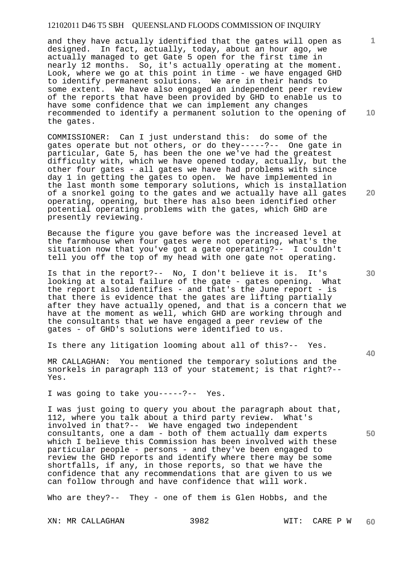and they have actually identified that the gates will open as designed. In fact, actually, today, about an hour ago, we actually managed to get Gate 5 open for the first time in nearly 12 months. So, it's actually operating at the moment. Look, where we go at this point in time - we have engaged GHD to identify permanent solutions. We are in their hands to some extent. We have also engaged an independent peer review of the reports that have been provided by GHD to enable us to have some confidence that we can implement any changes recommended to identify a permanent solution to the opening of the gates.

COMMISSIONER: Can I just understand this: do some of the gates operate but not others, or do they-----?-- One gate in particular, Gate 5, has been the one we've had the greatest difficulty with, which we have opened today, actually, but the other four gates - all gates we have had problems with since day 1 in getting the gates to open. We have implemented in the last month some temporary solutions, which is installation of a snorkel going to the gates and we actually have all gates operating, opening, but there has also been identified other potential operating problems with the gates, which GHD are presently reviewing.

Because the figure you gave before was the increased level at the farmhouse when four gates were not operating, what's the situation now that you've got a gate operating?-- I couldn't tell you off the top of my head with one gate not operating.

Is that in the report?-- No, I don't believe it is. It's looking at a total failure of the gate - gates opening. What the report also identifies - and that's the June report - is that there is evidence that the gates are lifting partially after they have actually opened, and that is a concern that we have at the moment as well, which GHD are working through and the consultants that we have engaged a peer review of the gates - of GHD's solutions were identified to us.

Is there any litigation looming about all of this?-- Yes.

MR CALLAGHAN: You mentioned the temporary solutions and the snorkels in paragraph 113 of your statement; is that right?-- Yes.

I was going to take you-----?-- Yes.

I was just going to query you about the paragraph about that, 112, where you talk about a third party review. What's involved in that?-- We have engaged two independent consultants, one a dam - both of them actually dam experts which I believe this Commission has been involved with these particular people - persons - and they've been engaged to review the GHD reports and identify where there may be some shortfalls, if any, in those reports, so that we have the confidence that any recommendations that are given to us we can follow through and have confidence that will work.

Who are they?-- They - one of them is Glen Hobbs, and the

XN: MR CALLAGHAN 3982 WIT: CARE P W

**10** 

**1**

**20** 

**30** 

**40**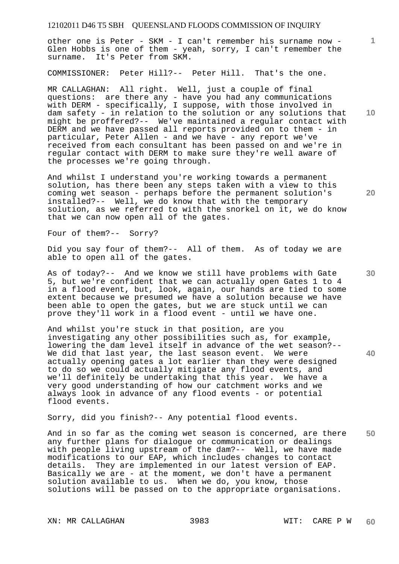other one is Peter - SKM - I can't remember his surname now - Glen Hobbs is one of them - yeah, sorry, I can't remember the surname. It's Peter from SKM.

COMMISSIONER: Peter Hill?-- Peter Hill. That's the one.

MR CALLAGHAN: All right. Well, just a couple of final questions: are there any - have you had any communications with DERM - specifically, I suppose, with those involved in dam safety - in relation to the solution or any solutions that might be proffered?-- We've maintained a regular contact with DERM and we have passed all reports provided on to them - in particular, Peter Allen - and we have - any report we've received from each consultant has been passed on and we're in regular contact with DERM to make sure they're well aware of the processes we're going through.

And whilst I understand you're working towards a permanent solution, has there been any steps taken with a view to this coming wet season - perhaps before the permanent solution's installed?-- Well, we do know that with the temporary solution, as we referred to with the snorkel on it, we do know that we can now open all of the gates.

Four of them?-- Sorry?

Did you say four of them?-- All of them. As of today we are able to open all of the gates.

As of today?-- And we know we still have problems with Gate 5, but we're confident that we can actually open Gates 1 to 4 in a flood event, but, look, again, our hands are tied to some extent because we presumed we have a solution because we have been able to open the gates, but we are stuck until we can prove they'll work in a flood event - until we have one.

And whilst you're stuck in that position, are you investigating any other possibilities such as, for example, lowering the dam level itself in advance of the wet season?--We did that last year, the last season event. We were actually opening gates a lot earlier than they were designed to do so we could actually mitigate any flood events, and we'll definitely be undertaking that this year. We have a very good understanding of how our catchment works and we always look in advance of any flood events - or potential flood events.

Sorry, did you finish?-- Any potential flood events.

**50**  And in so far as the coming wet season is concerned, are there any further plans for dialogue or communication or dealings with people living upstream of the dam?-- Well, we have made modifications to our EAP, which includes changes to contact details. They are implemented in our latest version of EAP. Basically we are - at the moment, we don't have a permanent solution available to us. When we do, you know, those solutions will be passed on to the appropriate organisations.

XN: MR CALLAGHAN 3983 WIT: CARE P W

**10** 

**1**

**30**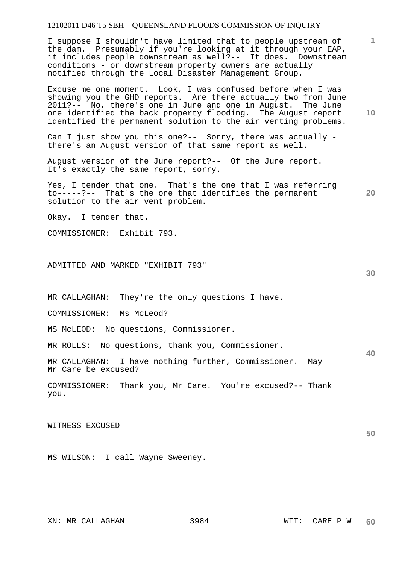I suppose I shouldn't have limited that to people upstream of the dam. Presumably if you're looking at it through your EAP, it includes people downstream as well?-- It does. Downstream conditions - or downstream property owners are actually notified through the Local Disaster Management Group.

Excuse me one moment. Look, I was confused before when I was showing you the GHD reports. Are there actually two from June 2011?-- No, there's one in June and one in August. The June one identified the back property flooding. The August report identified the permanent solution to the air venting problems.

Can I just show you this one?-- Sorry, there was actually  $$ there's an August version of that same report as well.

August version of the June report?-- Of the June report. It's exactly the same report, sorry.

Yes, I tender that one. That's the one that I was referring to-----?-- That's the one that identifies the permanent solution to the air vent problem.

Okay. I tender that.

COMMISSIONER: Exhibit 793.

ADMITTED AND MARKED "EXHIBIT 793"

MR CALLAGHAN: They're the only questions I have.

COMMISSIONER: Ms McLeod?

MS McLEOD: No questions, Commissioner.

MR ROLLS: No questions, thank you, Commissioner.

MR CALLAGHAN: I have nothing further, Commissioner. May Mr Care be excused?

COMMISSIONER: Thank you, Mr Care. You're excused?-- Thank you.

WITNESS EXCUSED

MS WILSON: I call Wayne Sweeney.

**1**

**20** 

**40**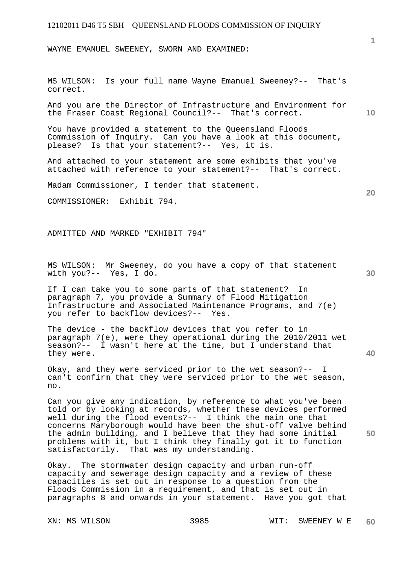WAYNE EMANUEL SWEENEY, SWORN AND EXAMINED:

MS WILSON: Is your full name Wayne Emanuel Sweeney?-- That's correct.

And you are the Director of Infrastructure and Environment for the Fraser Coast Regional Council?-- That's correct.

You have provided a statement to the Queensland Floods Commission of Inquiry. Can you have a look at this document, please? Is that your statement?-- Yes, it is.

And attached to your statement are some exhibits that you've attached with reference to your statement?-- That's correct.

Madam Commissioner, I tender that statement.

COMMISSIONER: Exhibit 794.

ADMITTED AND MARKED "EXHIBIT 794"

MS WILSON: Mr Sweeney, do you have a copy of that statement with you?-- Yes, I do.

If I can take you to some parts of that statement? In paragraph 7, you provide a Summary of Flood Mitigation Infrastructure and Associated Maintenance Programs, and 7(e) you refer to backflow devices?-- Yes.

The device - the backflow devices that you refer to in paragraph 7(e), were they operational during the 2010/2011 wet season?-- I wasn't here at the time, but I understand that they were.

Okay, and they were serviced prior to the wet season?-- I can't confirm that they were serviced prior to the wet season, no.

Can you give any indication, by reference to what you've been told or by looking at records, whether these devices performed well during the flood events?-- I think the main one that concerns Maryborough would have been the shut-off valve behind the admin building, and I believe that they had some initial problems with it, but I think they finally got it to function satisfactorily. That was my understanding.

Okay. The stormwater design capacity and urban run-off capacity and sewerage design capacity and a review of these capacities is set out in response to a question from the Floods Commission in a requirement, and that is set out in paragraphs 8 and onwards in your statement. Have you got that

**30** 

**20** 

**40** 

**50** 

**10**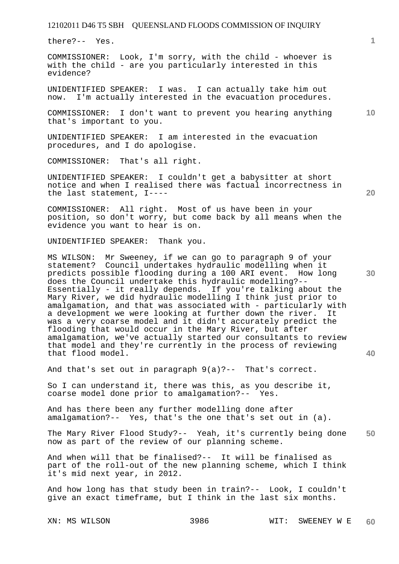there?-- Yes.

COMMISSIONER: Look, I'm sorry, with the child - whoever is with the child - are you particularly interested in this evidence?

UNIDENTIFIED SPEAKER: I was. I can actually take him out now. I'm actually interested in the evacuation procedures.

COMMISSIONER: I don't want to prevent you hearing anything that's important to you.

UNIDENTIFIED SPEAKER: I am interested in the evacuation procedures, and I do apologise.

COMMISSIONER: That's all right.

UNIDENTIFIED SPEAKER: I couldn't get a babysitter at short notice and when I realised there was factual incorrectness in the last statement, I----

COMMISSIONER: All right. Most of us have been in your position, so don't worry, but come back by all means when the evidence you want to hear is on.

UNIDENTIFIED SPEAKER: Thank you.

MS WILSON: Mr Sweeney, if we can go to paragraph 9 of your statement? Council undertakes hydraulic modelling when it predicts possible flooding during a 100 ARI event. How long does the Council undertake this hydraulic modelling?-- Essentially - it really depends. If you're talking about the Mary River, we did hydraulic modelling I think just prior to amalgamation, and that was associated with - particularly with a development we were looking at further down the river. It was a very coarse model and it didn't accurately predict the flooding that would occur in the Mary River, but after amalgamation, we've actually started our consultants to review that model and they're currently in the process of reviewing that flood model.

And that's set out in paragraph 9(a)?-- That's correct.

So I can understand it, there was this, as you describe it, coarse model done prior to amalgamation?-- Yes.

And has there been any further modelling done after amalgamation?-- Yes, that's the one that's set out in (a).

**50**  The Mary River Flood Study?-- Yeah, it's currently being done now as part of the review of our planning scheme.

And when will that be finalised?-- It will be finalised as part of the roll-out of the new planning scheme, which I think it's mid next year, in 2012.

And how long has that study been in train?-- Look, I couldn't give an exact timeframe, but I think in the last six months.

**10** 

**1**

**20** 

**30**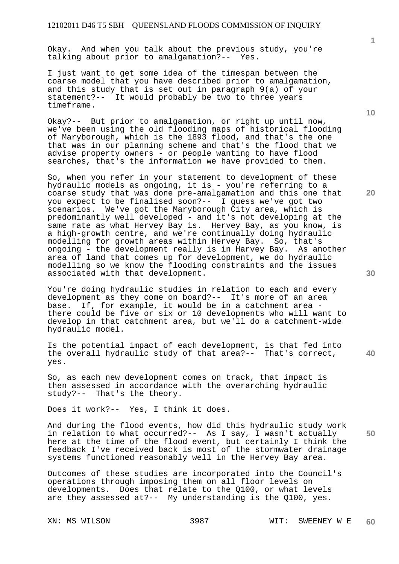Okay. And when you talk about the previous study, you're talking about prior to amalgamation?-- Yes.

I just want to get some idea of the timespan between the coarse model that you have described prior to amalgamation, and this study that is set out in paragraph 9(a) of your statement?-- It would probably be two to three years timeframe.

Okay?-- But prior to amalgamation, or right up until now, we've been using the old flooding maps of historical flooding of Maryborough, which is the 1893 flood, and that's the one that was in our planning scheme and that's the flood that we advise property owners - or people wanting to have flood searches, that's the information we have provided to them.

So, when you refer in your statement to development of these hydraulic models as ongoing, it is - you're referring to a coarse study that was done pre-amalgamation and this one that you expect to be finalised soon?-- I guess we've got two scenarios. We've got the Maryborough City area, which is predominantly well developed - and it's not developing at the same rate as what Hervey Bay is. Hervey Bay, as you know, is a high-growth centre, and we're continually doing hydraulic modelling for growth areas within Hervey Bay. So, that's ongoing - the development really is in Harvey Bay. As another area of land that comes up for development, we do hydraulic modelling so we know the flooding constraints and the issues associated with that development.

You're doing hydraulic studies in relation to each and every development as they come on board?-- It's more of an area base. If, for example, it would be in a catchment area there could be five or six or 10 developments who will want to develop in that catchment area, but we'll do a catchment-wide hydraulic model.

Is the potential impact of each development, is that fed into the overall hydraulic study of that area?-- That's correct, yes.

So, as each new development comes on track, that impact is then assessed in accordance with the overarching hydraulic study?-- That's the theory.

Does it work?-- Yes, I think it does.

And during the flood events, how did this hydraulic study work in relation to what occurred?-- As I say, I wasn't actually here at the time of the flood event, but certainly I think the feedback I've received back is most of the stormwater drainage systems functioned reasonably well in the Hervey Bay area.

Outcomes of these studies are incorporated into the Council's operations through imposing them on all floor levels on developments. Does that relate to the Q100, or what levels are they assessed at?-- My understanding is the Q100, yes.

**1**

**10** 

**20** 

**40**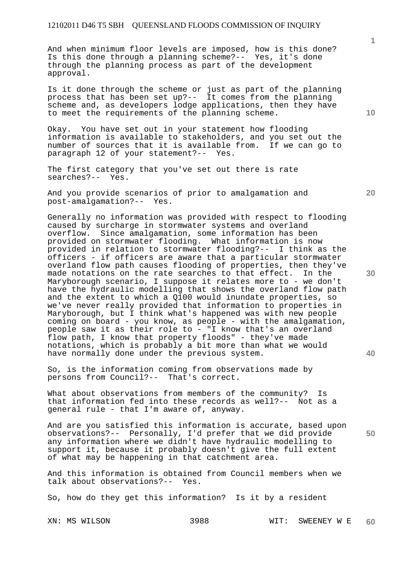And when minimum floor levels are imposed, how is this done? Is this done through a planning scheme?-- Yes, it's done through the planning process as part of the development approval.

Is it done through the scheme or just as part of the planning process that has been set up?-- It comes from the planning scheme and, as developers lodge applications, then they have to meet the requirements of the planning scheme.

Okay. You have set out in your statement how flooding information is available to stakeholders, and you set out the number of sources that it is available from. If we can go to paragraph 12 of your statement?-- Yes.

The first category that you've set out there is rate searches?-- Yes.

And you provide scenarios of prior to amalgamation and post-amalgamation?-- Yes. post-amalgamation?--

Generally no information was provided with respect to flooding caused by surcharge in stormwater systems and overland overflow. Since amalgamation, some information has been provided on stormwater flooding. What information is now provided in relation to stormwater flooding?-- I think as the officers - if officers are aware that a particular stormwater overland flow path causes flooding of properties, then they've made notations on the rate searches to that effect. In the Maryborough scenario, I suppose it relates more to - we don't have the hydraulic modelling that shows the overland flow path and the extent to which a Q100 would inundate properties, so we've never really provided that information to properties in Maryborough, but I think what's happened was with new people coming on board - you know, as people - with the amalgamation, people saw it as their role to - "I know that's an overland flow path, I know that property floods" - they've made notations, which is probably a bit more than what we would have normally done under the previous system.

So, is the information coming from observations made by persons from Council?-- That's correct.

What about observations from members of the community? Is that information fed into these records as well?-- Not as a general rule - that I'm aware of, anyway.

And are you satisfied this information is accurate, based upon observations?-- Personally, I'd prefer that we did provide any information where we didn't have hydraulic modelling to support it, because it probably doesn't give the full extent of what may be happening in that catchment area.

And this information is obtained from Council members when we talk about observations?-- Yes.

So, how do they get this information? Is it by a resident

**10** 

**1**

**20** 

**30** 

**40**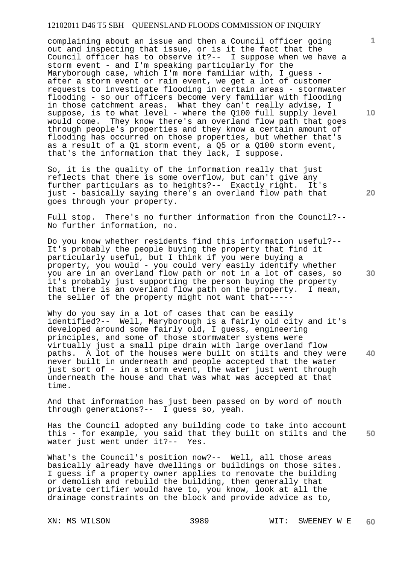complaining about an issue and then a Council officer going out and inspecting that issue, or is it the fact that the Council officer has to observe it?-- I suppose when we have a storm event - and I'm speaking particularly for the Maryborough case, which I'm more familiar with, I quess after a storm event or rain event, we get a lot of customer requests to investigate flooding in certain areas - stormwater flooding - so our officers become very familiar with flooding in those catchment areas. What they can't really advise, I suppose, is to what level - where the Q100 full supply level would come. They know there's an overland flow path that goes through people's properties and they know a certain amount of flooding has occurred on those properties, but whether that's as a result of a Q1 storm event, a Q5 or a Q100 storm event, that's the information that they lack, I suppose.

So, it is the quality of the information really that just reflects that there is some overflow, but can't give any further particulars as to heights?-- Exactly right. It's just - basically saying there's an overland flow path that goes through your property.

Full stop. There's no further information from the Council?-- No further information, no.

Do you know whether residents find this information useful?-- It's probably the people buying the property that find it particularly useful, but I think if you were buying a property, you would - you could very easily identify whether you are in an overland flow path or not in a lot of cases, so it's probably just supporting the person buying the property that there is an overland flow path on the property. I mean, the seller of the property might not want that-----

Why do you say in a lot of cases that can be easily identified?-- Well, Maryborough is a fairly old city and it's developed around some fairly old, I guess, engineering principles, and some of those stormwater systems were virtually just a small pipe drain with large overland flow paths. A lot of the houses were built on stilts and they were never built in underneath and people accepted that the water just sort of - in a storm event, the water just went through underneath the house and that was what was accepted at that time.

And that information has just been passed on by word of mouth through generations?-- I guess so, yeah.

**50**  Has the Council adopted any building code to take into account this - for example, you said that they built on stilts and the water just went under it?-- Yes.

What's the Council's position now?-- Well, all those areas basically already have dwellings or buildings on those sites. I guess if a property owner applies to renovate the building or demolish and rebuild the building, then generally that private certifier would have to, you know, look at all the drainage constraints on the block and provide advice as to,

**10** 

**1**

**20** 

**30**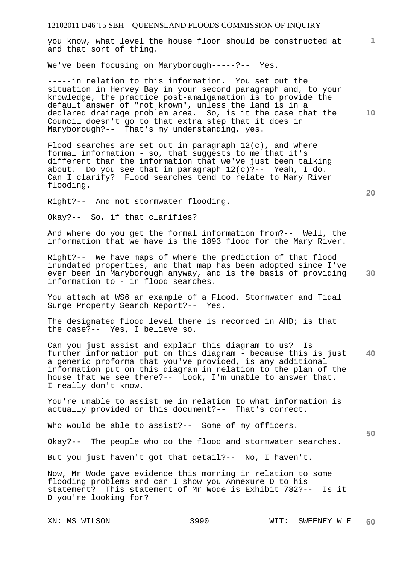**1** you know, what level the house floor should be constructed at and that sort of thing.

We've been focusing on Maryborough-----?-- Yes.

-----in relation to this information. You set out the situation in Hervey Bay in your second paragraph and, to your knowledge, the practice post-amalgamation is to provide the default answer of "not known", unless the land is in a declared drainage problem area. So, is it the case that the Council doesn't go to that extra step that it does in Maryborough?-- That's my understanding, yes.

Flood searches are set out in paragraph  $12(c)$ , and where formal information - so, that suggests to me that it's different than the information that we've just been talking about. Do you see that in paragraph 12(c)?-- Yeah, I do. Can I clarify? Flood searches tend to relate to Mary River flooding.

Right?-- And not stormwater flooding.

Okay?-- So, if that clarifies?

And where do you get the formal information from?-- Well, the information that we have is the 1893 flood for the Mary River.

Right?-- We have maps of where the prediction of that flood inundated properties, and that map has been adopted since I've ever been in Maryborough anyway, and is the basis of providing information to - in flood searches.

You attach at WS6 an example of a Flood, Stormwater and Tidal Surge Property Search Report?-- Yes.

The designated flood level there is recorded in AHD; is that the case?-- Yes, I believe so.

**40**  Can you just assist and explain this diagram to us? Is further information put on this diagram - because this is just a generic proforma that you've provided, is any additional information put on this diagram in relation to the plan of the house that we see there?-- Look, I'm unable to answer that. I really don't know.

You're unable to assist me in relation to what information is actually provided on this document?-- That's correct.

Who would be able to assist?-- Some of my officers.

Okay?-- The people who do the flood and stormwater searches.

But you just haven't got that detail?-- No, I haven't.

Now, Mr Wode gave evidence this morning in relation to some flooding problems and can I show you Annexure D to his statement? This statement of Mr Wode is Exhibit 782?-- Is it D you're looking for?

XN: MS WILSON 3990 WIT: SWEENEY W E **60** 

**20** 

**50**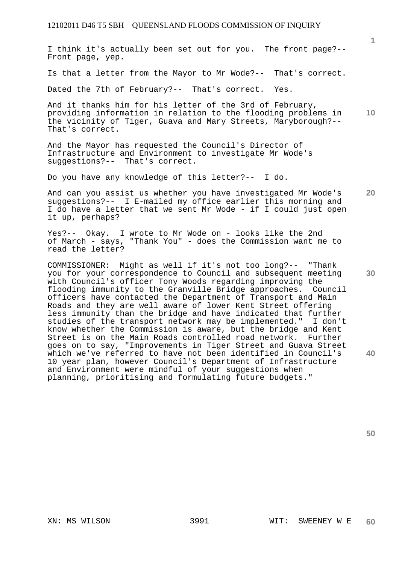I think it's actually been set out for you. The front page?-- Front page, yep.

Is that a letter from the Mayor to Mr Wode?-- That's correct.

Dated the 7th of February?-- That's correct. Yes.

**10**  And it thanks him for his letter of the 3rd of February, providing information in relation to the flooding problems in the vicinity of Tiger, Guava and Mary Streets, Maryborough?-- That's correct.

And the Mayor has requested the Council's Director of Infrastructure and Environment to investigate Mr Wode's suggestions?-- That's correct.

Do you have any knowledge of this letter?-- I do.

**20**  And can you assist us whether you have investigated Mr Wode's suggestions?-- I E-mailed my office earlier this morning and I do have a letter that we sent Mr Wode - if I could just open it up, perhaps?

Yes?-- Okay. I wrote to Mr Wode on - looks like the 2nd of March - says, "Thank You" - does the Commission want me to read the letter?

COMMISSIONER: Might as well if it's not too long?-- "Thank you for your correspondence to Council and subsequent meeting with Council's officer Tony Woods regarding improving the flooding immunity to the Granville Bridge approaches. Council officers have contacted the Department of Transport and Main Roads and they are well aware of lower Kent Street offering less immunity than the bridge and have indicated that further studies of the transport network may be implemented." I don't know whether the Commission is aware, but the bridge and Kent Street is on the Main Roads controlled road network. Further goes on to say, "Improvements in Tiger Street and Guava Street which we've referred to have not been identified in Council's 10 year plan, however Council's Department of Infrastructure and Environment were mindful of your suggestions when planning, prioritising and formulating future budgets."

**30** 

**1**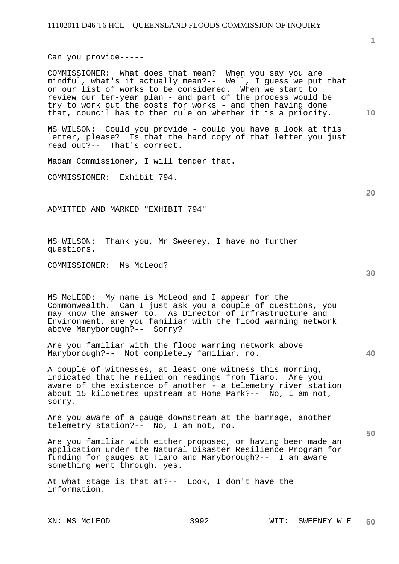Can you provide-----

COMMISSIONER: What does that mean? When you say you are mindful, what's it actually mean?-- Well, I guess we put that on our list of works to be considered. When we start to review our ten-year plan - and part of the process would be try to work out the costs for works - and then having done that, council has to then rule on whether it is a priority.

MS WILSON: Could you provide - could you have a look at this letter, please? Is that the hard copy of that letter you just read out?-- That's correct.

Madam Commissioner, I will tender that.

COMMISSIONER: Exhibit 794.

ADMITTED AND MARKED "EXHIBIT 794"

MS WILSON: Thank you, Mr Sweeney, I have no further questions.

COMMISSIONER: Ms McLeod?

MS McLEOD: My name is McLeod and I appear for the Commonwealth. Can I just ask you a couple of questions, you may know the answer to. As Director of Infrastructure and Environment, are you familiar with the flood warning network above Maryborough?-- Sorry?

Are you familiar with the flood warning network above Maryborough?-- Not completely familiar, no.

A couple of witnesses, at least one witness this morning, indicated that he relied on readings from Tiaro. Are you aware of the existence of another - a telemetry river station about 15 kilometres upstream at Home Park?-- No, I am not, sorry.

Are you aware of a gauge downstream at the barrage, another telemetry station?-- No, I am not, no.

Are you familiar with either proposed, or having been made an application under the Natural Disaster Resilience Program for funding for gauges at Tiaro and Maryborough?-- I am aware something went through, yes.

At what stage is that at?-- Look, I don't have the information.

**10** 

**20** 

**40**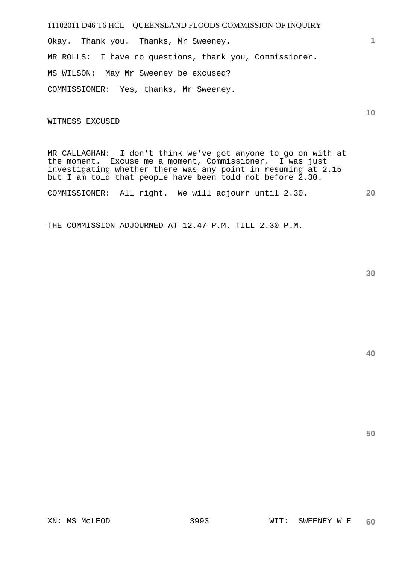Okay. Thank you. Thanks, Mr Sweeney. MR ROLLS: I have no questions, thank you, Commissioner. MS WILSON: May Mr Sweeney be excused? COMMISSIONER: Yes, thanks, Mr Sweeney.

WITNESS EXCUSED

MR CALLAGHAN: I don't think we've got anyone to go on with at the moment. Excuse me a moment, Commissioner. I was just investigating whether there was any point in resuming at 2.15 but I am told that people have been told not before 2.30.

**20**  COMMISSIONER: All right. We will adjourn until 2.30.

THE COMMISSION ADJOURNED AT 12.47 P.M. TILL 2.30 P.M.

**40** 

**50** 

**1**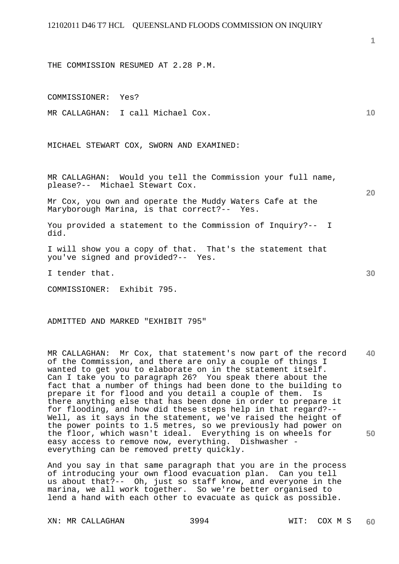THE COMMISSION RESUMED AT 2.28 P.M.

COMMISSIONER: Yes?

MR CALLAGHAN: I call Michael Cox.

MICHAEL STEWART COX, SWORN AND EXAMINED:

MR CALLAGHAN: Would you tell the Commission your full name, please?-- Michael Stewart Cox.

Mr Cox, you own and operate the Muddy Waters Cafe at the Maryborough Marina, is that correct?-- Yes.

You provided a statement to the Commission of Inquiry?-- I did.

I will show you a copy of that. That's the statement that you've signed and provided?-- Yes.

I tender that.

COMMISSIONER: Exhibit 795.

ADMITTED AND MARKED "EXHIBIT 795"

**40 50**  MR CALLAGHAN: Mr Cox, that statement's now part of the record of the Commission, and there are only a couple of things I wanted to get you to elaborate on in the statement itself. Can I take you to paragraph 26? You speak there about the fact that a number of things had been done to the building to prepare it for flood and you detail a couple of them. Is there anything else that has been done in order to prepare it for flooding, and how did these steps help in that regard?-- Well, as it says in the statement, we've raised the height of the power points to 1.5 metres, so we previously had power on the floor, which wasn't ideal. Everything is on wheels for easy access to remove now, everything. Dishwasher everything can be removed pretty quickly.

And you say in that same paragraph that you are in the process of introducing your own flood evacuation plan. Can you tell us about that?-- Oh, just so staff know, and everyone in the marina, we all work together. So we're better organised to lend a hand with each other to evacuate as quick as possible.

XN: MR CALLAGHAN 3994 WIT: COX M S

**20** 

**10**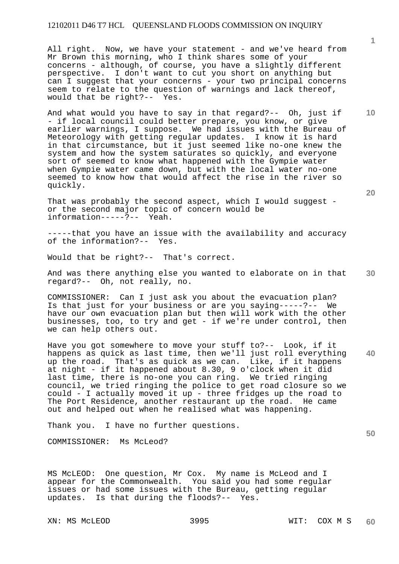All right. Now, we have your statement - and we've heard from Mr Brown this morning, who I think shares some of your concerns - although, of course, you have a slightly different perspective. I don't want to cut you short on anything but can I suggest that your concerns - your two principal concerns seem to relate to the question of warnings and lack thereof, would that be right?-- Yes.

And what would you have to say in that regard?-- Oh, just if - if local council could better prepare, you know, or give earlier warnings, I suppose. We had issues with the Bureau of Meteorology with getting regular updates. I know it is hard in that circumstance, but it just seemed like no-one knew the system and how the system saturates so quickly, and everyone sort of seemed to know what happened with the Gympie water when Gympie water came down, but with the local water no-one seemed to know how that would affect the rise in the river so quickly.

That was probably the second aspect, which I would suggest or the second major topic of concern would be information-----?-- Yeah. information-----?--

-----that you have an issue with the availability and accuracy of the information?-- Yes.

Would that be right?-- That's correct.

**30**  And was there anything else you wanted to elaborate on in that regard?-- Oh, not really, no.

COMMISSIONER: Can I just ask you about the evacuation plan? Is that just for your business or are you saying-----?-- We have our own evacuation plan but then will work with the other businesses, too, to try and get - if we're under control, then we can help others out.

**40**  Have you got somewhere to move your stuff to?-- Look, if it happens as quick as last time, then we'll just roll everything up the road. That's as quick as we can. Like, if it happens at night - if it happened about 8.30, 9 o'clock when it did last time, there is no-one you can ring. We tried ringing council, we tried ringing the police to get road closure so we could - I actually moved it up - three fridges up the road to The Port Residence, another restaurant up the road. He came out and helped out when he realised what was happening.

Thank you. I have no further questions.

COMMISSIONER: Ms McLeod?

MS McLEOD: One question, Mr Cox. My name is McLeod and I appear for the Commonwealth. You said you had some regular issues or had some issues with the Bureau, getting regular updates. Is that during the floods?-- Yes.

XN: MS McLEOD 3995 WIT: COX M S

**10**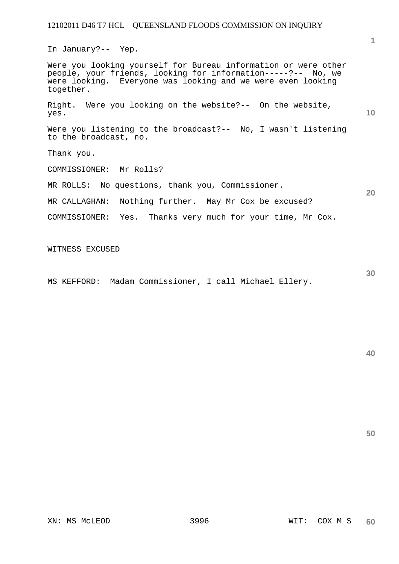In January?-- Yep.

Were you looking yourself for Bureau information or were other people, your friends, looking for information-----?-- No, we were looking. Everyone was looking and we were even looking together.

Right. Were you looking on the website?-- On the website, yes.

Were you listening to the broadcast?-- No, I wasn't listening to the broadcast, no.

Thank you.

COMMISSIONER: Mr Rolls?

MR ROLLS: No questions, thank you, Commissioner.

MR CALLAGHAN: Nothing further. May Mr Cox be excused?

COMMISSIONER: Yes. Thanks very much for your time, Mr Cox.

WITNESS EXCUSED

MS KEFFORD: Madam Commissioner, I call Michael Ellery.

**40** 

**50** 

**1**

**10** 

**20**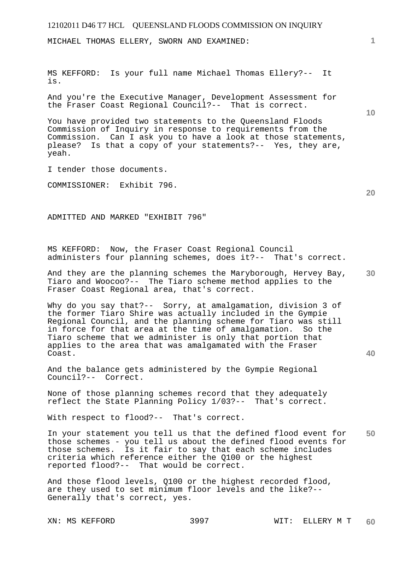MICHAEL THOMAS ELLERY, SWORN AND EXAMINED:

MS KEFFORD: Is your full name Michael Thomas Ellery?-- It is.

And you're the Executive Manager, Development Assessment for the Fraser Coast Regional Council?-- That is correct.

You have provided two statements to the Queensland Floods Commission of Inquiry in response to requirements from the Commission. Can I ask you to have a look at those statements, please? Is that a copy of your statements?-- Yes, they are, yeah.

I tender those documents.

COMMISSIONER: Exhibit 796.

ADMITTED AND MARKED "EXHIBIT 796"

MS KEFFORD: Now, the Fraser Coast Regional Council administers four planning schemes, does it?-- That's correct.

**30**  And they are the planning schemes the Maryborough, Hervey Bay, Tiaro and Woocoo?-- The Tiaro scheme method applies to the Fraser Coast Regional area, that's correct.

Why do you say that?-- Sorry, at amalgamation, division 3 of the former Tiaro Shire was actually included in the Gympie Regional Council, and the planning scheme for Tiaro was still in force for that area at the time of amalgamation. So the Tiaro scheme that we administer is only that portion that applies to the area that was amalgamated with the Fraser Coast.

And the balance gets administered by the Gympie Regional Council?-- Correct.

None of those planning schemes record that they adequately reflect the State Planning Policy 1/03?-- That's correct.

With respect to flood?-- That's correct.

**50**  In your statement you tell us that the defined flood event for those schemes - you tell us about the defined flood events for those schemes. Is it fair to say that each scheme includes criteria which reference either the Q100 or the highest reported flood?-- That would be correct.

And those flood levels, Q100 or the highest recorded flood, are they used to set minimum floor levels and the like?-- Generally that's correct, yes.

**10** 

**1**

**20**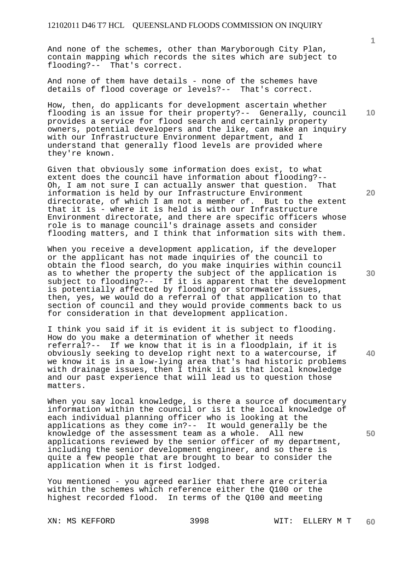And none of the schemes, other than Maryborough City Plan, contain mapping which records the sites which are subject to flooding?-- That's correct.

And none of them have details - none of the schemes have details of flood coverage or levels?-- That's correct.

How, then, do applicants for development ascertain whether flooding is an issue for their property?-- Generally, council provides a service for flood search and certainly property owners, potential developers and the like, can make an inquiry with our Infrastructure Environment department, and I understand that generally flood levels are provided where they're known.

Given that obviously some information does exist, to what extent does the council have information about flooding?-- Oh, I am not sure I can actually answer that question. That information is held by our Infrastructure Environment directorate, of which I am not a member of. But to the extent that it is - where it is held is with our Infrastructure Environment directorate, and there are specific officers whose role is to manage council's drainage assets and consider flooding matters, and I think that information sits with them.

When you receive a development application, if the developer or the applicant has not made inquiries of the council to obtain the flood search, do you make inquiries within council as to whether the property the subject of the application is subject to flooding?-- If it is apparent that the development is potentially affected by flooding or stormwater issues, then, yes, we would do a referral of that application to that section of council and they would provide comments back to us for consideration in that development application.

I think you said if it is evident it is subject to flooding. How do you make a determination of whether it needs referral?-- If we know that it is in a floodplain, if it is obviously seeking to develop right next to a watercourse, if we know it is in a low-lying area that's had historic problems with drainage issues, then I think it is that local knowledge and our past experience that will lead us to question those matters.

When you say local knowledge, is there a source of documentary information within the council or is it the local knowledge of each individual planning officer who is looking at the applications as they come in?-- It would generally be the knowledge of the assessment team as a whole. All new applications reviewed by the senior officer of my department, including the senior development engineer, and so there is quite a few people that are brought to bear to consider the application when it is first lodged.

You mentioned - you agreed earlier that there are criteria within the schemes which reference either the Q100 or the highest recorded flood. In terms of the Q100 and meeting

**10** 

**30** 

**20** 

**40**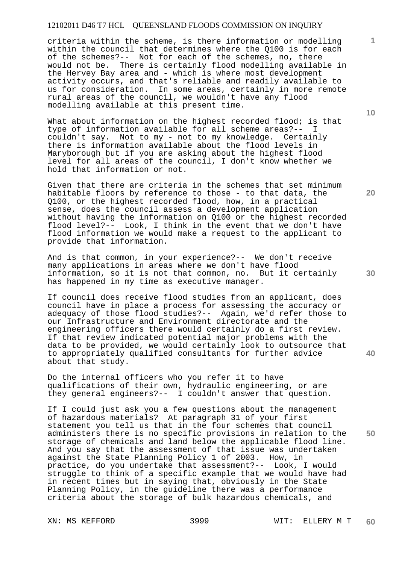criteria within the scheme, is there information or modelling within the council that determines where the Q100 is for each of the schemes?-- Not for each of the schemes, no, there would not be. There is certainly flood modelling available in the Hervey Bay area and - which is where most development activity occurs, and that's reliable and readily available to us for consideration. In some areas, certainly in more remote rural areas of the council, we wouldn't have any flood modelling available at this present time.

What about information on the highest recorded flood; is that type of information available for all scheme areas?-couldn't say. Not to my - not to my knowledge. Certainly there is information available about the flood levels in Maryborough but if you are asking about the highest flood level for all areas of the council, I don't know whether we hold that information or not.

Given that there are criteria in the schemes that set minimum habitable floors by reference to those - to that data, the Q100, or the highest recorded flood, how, in a practical sense, does the council assess a development application without having the information on Q100 or the highest recorded flood level?-- Look, I think in the event that we don't have flood information we would make a request to the applicant to provide that information.

And is that common, in your experience?-- We don't receive many applications in areas where we don't have flood information, so it is not that common, no. But it certainly has happened in my time as executive manager.

If council does receive flood studies from an applicant, does council have in place a process for assessing the accuracy or adequacy of those flood studies?-- Again, we'd refer those to our Infrastructure and Environment directorate and the engineering officers there would certainly do a first review. If that review indicated potential major problems with the data to be provided, we would certainly look to outsource that to appropriately qualified consultants for further advice about that study.

Do the internal officers who you refer it to have qualifications of their own, hydraulic engineering, or are they general engineers?-- I couldn't answer that question.

If I could just ask you a few questions about the management of hazardous materials? At paragraph 31 of your first statement you tell us that in the four schemes that council administers there is no specific provisions in relation to the storage of chemicals and land below the applicable flood line. And you say that the assessment of that issue was undertaken against the State Planning Policy 1 of 2003. How, in practice, do you undertake that assessment?-- Look, I would struggle to think of a specific example that we would have had in recent times but in saying that, obviously in the State Planning Policy, in the guideline there was a performance criteria about the storage of bulk hazardous chemicals, and

**10** 

**1**

**20** 

**30** 

**40**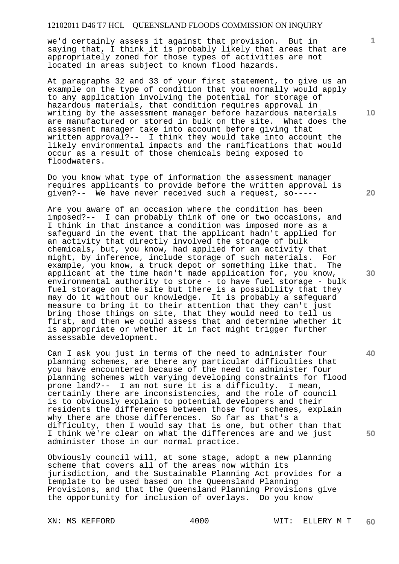we'd certainly assess it against that provision. But in saying that, I think it is probably likely that areas that are appropriately zoned for those types of activities are not located in areas subject to known flood hazards.

At paragraphs 32 and 33 of your first statement, to give us an example on the type of condition that you normally would apply to any application involving the potential for storage of hazardous materials, that condition requires approval in writing by the assessment manager before hazardous materials are manufactured or stored in bulk on the site. What does the assessment manager take into account before giving that written approval?-- I think they would take into account the likely environmental impacts and the ramifications that would occur as a result of those chemicals being exposed to floodwaters.

Do you know what type of information the assessment manager requires applicants to provide before the written approval is given?-- We have never received such a request, so-----

Are you aware of an occasion where the condition has been imposed?-- I can probably think of one or two occasions, and I think in that instance a condition was imposed more as a safeguard in the event that the applicant hadn't applied for an activity that directly involved the storage of bulk chemicals, but, you know, had applied for an activity that might, by inference, include storage of such materials. For example, you know, a truck depot or something like that. The applicant at the time hadn't made application for, you know, environmental authority to store - to have fuel storage - bulk fuel storage on the site but there is a possibility that they may do it without our knowledge. It is probably a safeguard measure to bring it to their attention that they can't just bring those things on site, that they would need to tell us first, and then we could assess that and determine whether it is appropriate or whether it in fact might trigger further assessable development.

Can I ask you just in terms of the need to administer four planning schemes, are there any particular difficulties that you have encountered because of the need to administer four planning schemes with varying developing constraints for flood prone land?-- I am not sure it is a difficulty. I mean, certainly there are inconsistencies, and the role of council is to obviously explain to potential developers and their residents the differences between those four schemes, explain why there are those differences. So far as that's a difficulty, then I would say that is one, but other than that I think we're clear on what the differences are and we just administer those in our normal practice.

Obviously council will, at some stage, adopt a new planning scheme that covers all of the areas now within its jurisdiction, and the Sustainable Planning Act provides for a template to be used based on the Queensland Planning Provisions, and that the Queensland Planning Provisions give the opportunity for inclusion of overlays. Do you know

**10** 

**1**

**20** 

**30** 

**40**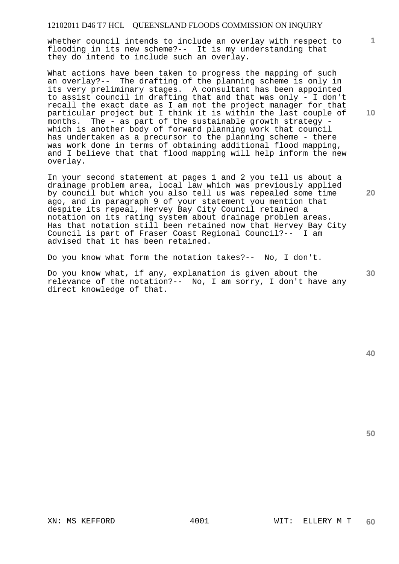whether council intends to include an overlay with respect to flooding in its new scheme?-- It is my understanding that they do intend to include such an overlay.

What actions have been taken to progress the mapping of such an overlay?-- The drafting of the planning scheme is only in its very preliminary stages. A consultant has been appointed to assist council in drafting that and that was only - I don't recall the exact date as I am not the project manager for that particular project but I think it is within the last couple of months. The - as part of the sustainable growth strategy which is another body of forward planning work that council has undertaken as a precursor to the planning scheme - there was work done in terms of obtaining additional flood mapping, and I believe that that flood mapping will help inform the new overlay.

In your second statement at pages 1 and 2 you tell us about a drainage problem area, local law which was previously applied by council but which you also tell us was repealed some time ago, and in paragraph 9 of your statement you mention that despite its repeal, Hervey Bay City Council retained a notation on its rating system about drainage problem areas. Has that notation still been retained now that Hervey Bay City Council is part of Fraser Coast Regional Council?-- I am advised that it has been retained.

Do you know what form the notation takes?-- No, I don't.

Do you know what, if any, explanation is given about the relevance of the notation?-- No, I am sorry, I don't have any direct knowledge of that.

**10** 

**1**

**20**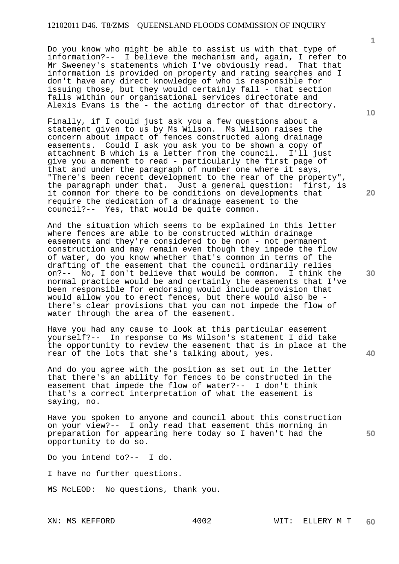Do you know who might be able to assist us with that type of information?-- I believe the mechanism and, again, I refer to Mr Sweeney's statements which I've obviously read. That that information is provided on property and rating searches and I don't have any direct knowledge of who is responsible for issuing those, but they would certainly fall - that section falls within our organisational services directorate and Alexis Evans is the - the acting director of that directory.

Finally, if I could just ask you a few questions about a statement given to us by Ms Wilson. Ms Wilson raises the concern about impact of fences constructed along drainage easements. Could I ask you ask you to be shown a copy of attachment B which is a letter from the council. I'll just give you a moment to read - particularly the first page of that and under the paragraph of number one where it says, "There's been recent development to the rear of the property", the paragraph under that. Just a general question: first, is it common for there to be conditions on developments that require the dedication of a drainage easement to the council?-- Yes, that would be quite common.

And the situation which seems to be explained in this letter where fences are able to be constructed within drainage easements and they're considered to be non - not permanent construction and may remain even though they impede the flow of water, do you know whether that's common in terms of the drafting of the easement that the council ordinarily relies on?-- No, I don't believe that would be common. I think the normal practice would be and certainly the easements that I've been responsible for endorsing would include provision that would allow you to erect fences, but there would also be there's clear provisions that you can not impede the flow of water through the area of the easement.

Have you had any cause to look at this particular easement yourself?-- In response to Ms Wilson's statement I did take the opportunity to review the easement that is in place at the rear of the lots that she's talking about, yes.

And do you agree with the position as set out in the letter that there's an ability for fences to be constructed in the easement that impede the flow of water?-- I don't think that's a correct interpretation of what the easement is saying, no.

Have you spoken to anyone and council about this construction on your view?-- I only read that easement this morning in preparation for appearing here today so I haven't had the opportunity to do so.

Do you intend to?-- I do.

I have no further questions.

MS McLEOD: No questions, thank you.

**10** 

**1**

**30** 

**50**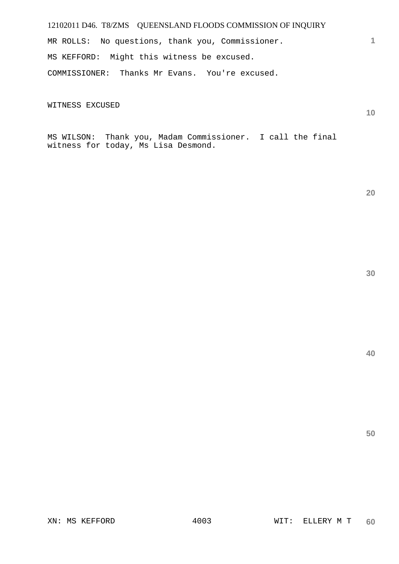MR ROLLS: No questions, thank you, Commissioner. MS KEFFORD: Might this witness be excused. COMMISSIONER: Thanks Mr Evans. You're excused.

WITNESS EXCUSED

**10** 

**20** 

**1**

MS WILSON: Thank you, Madam Commissioner. I call the final witness for today, Ms Lisa Desmond.

**30** 

**40**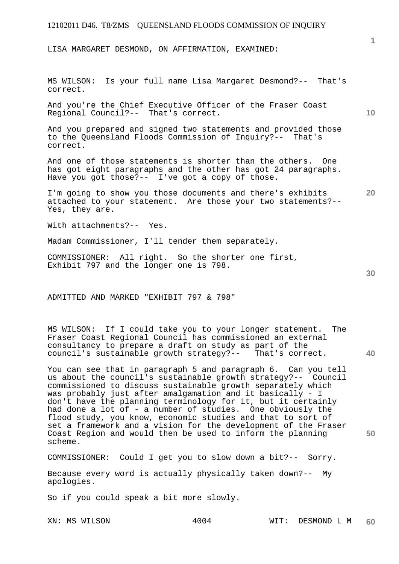LISA MARGARET DESMOND, ON AFFIRMATION, EXAMINED:

MS WILSON: Is your full name Lisa Margaret Desmond?-- That's correct.

And you're the Chief Executive Officer of the Fraser Coast Regional Council?-- That's correct.

And you prepared and signed two statements and provided those to the Queensland Floods Commission of Inquiry?-- That's correct.

And one of those statements is shorter than the others. One has got eight paragraphs and the other has got 24 paragraphs. Have you got those?-- I've got a copy of those.

**20**  I'm going to show you those documents and there's exhibits attached to your statement. Are those your two statements?-- Yes, they are.

With attachments?-- Yes.

Madam Commissioner, I'll tender them separately.

COMMISSIONER: All right. So the shorter one first, Exhibit 797 and the longer one is 798.

ADMITTED AND MARKED "EXHIBIT 797 & 798"

**40**  MS WILSON: If I could take you to your longer statement. The Fraser Coast Regional Council has commissioned an external consultancy to prepare a draft on study as part of the council's sustainable growth strategy?-- That's correct.

You can see that in paragraph 5 and paragraph 6. Can you tell us about the council's sustainable growth strategy?-- Council commissioned to discuss sustainable growth separately which was probably just after amalgamation and it basically - I don't have the planning terminology for it, but it certainly had done a lot of - a number of studies. One obviously the flood study, you know, economic studies and that to sort of set a framework and a vision for the development of the Fraser Coast Region and would then be used to inform the planning scheme.

COMMISSIONER: Could I get you to slow down a bit?-- Sorry.

Because every word is actually physically taken down?-- My apologies.

So if you could speak a bit more slowly.

**1**

**10**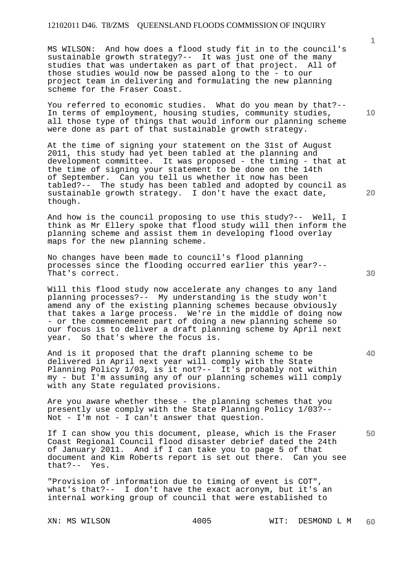MS WILSON: And how does a flood study fit in to the council's sustainable growth strategy?-- It was just one of the many studies that was undertaken as part of that project. All of those studies would now be passed along to the - to our project team in delivering and formulating the new planning scheme for the Fraser Coast.

You referred to economic studies. What do you mean by that?-- In terms of employment, housing studies, community studies, all those type of things that would inform our planning scheme were done as part of that sustainable growth strategy.

At the time of signing your statement on the 31st of August 2011, this study had yet been tabled at the planning and development committee. It was proposed - the timing - that at the time of signing your statement to be done on the 14th of September. Can you tell us whether it now has been tabled?-- The study has been tabled and adopted by council as sustainable growth strategy. I don't have the exact date, though.

And how is the council proposing to use this study?-- Well, I think as Mr Ellery spoke that flood study will then inform the planning scheme and assist them in developing flood overlay maps for the new planning scheme.

No changes have been made to council's flood planning processes since the flooding occurred earlier this year?-- That's correct.

Will this flood study now accelerate any changes to any land planning processes?-- My understanding is the study won't amend any of the existing planning schemes because obviously that takes a large process. We're in the middle of doing now - or the commencement part of doing a new planning scheme so our focus is to deliver a draft planning scheme by April next year. So that's where the focus is.

And is it proposed that the draft planning scheme to be delivered in April next year will comply with the State Planning Policy 1/03, is it not?-- It's probably not within my - but I'm assuming any of our planning schemes will comply with any State regulated provisions.

Are you aware whether these - the planning schemes that you presently use comply with the State Planning Policy 1/03?-- Not - I'm not - I can't answer that question.

If I can show you this document, please, which is the Fraser Coast Regional Council flood disaster debrief dated the 24th of January 2011. And if I can take you to page 5 of that document and Kim Roberts report is set out there. Can you see that?-- Yes.

"Provision of information due to timing of event is COT", what's that?-- I don't have the exact acronym, but it's an internal working group of council that were established to

**10** 

**1**

**20** 

**30** 

**40**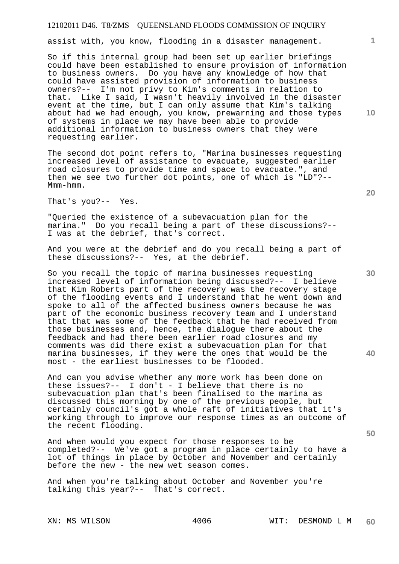assist with, you know, flooding in a disaster management.

So if this internal group had been set up earlier briefings could have been established to ensure provision of information to business owners. Do you have any knowledge of how that could have assisted provision of information to business owners?-- I'm not privy to Kim's comments in relation to that. Like I said, I wasn't heavily involved in the disaster event at the time, but I can only assume that Kim's talking about had we had enough, you know, prewarning and those types of systems in place we may have been able to provide additional information to business owners that they were requesting earlier.

The second dot point refers to, "Marina businesses requesting increased level of assistance to evacuate, suggested earlier road closures to provide time and space to evacuate.", and then we see two further dot points, one of which is "LD"?-- Mmm-hmm.

That's you?-- Yes.

"Queried the existence of a subevacuation plan for the marina." Do you recall being a part of these discussions?-- I was at the debrief, that's correct.

And you were at the debrief and do you recall being a part of these discussions?-- Yes, at the debrief.

So you recall the topic of marina businesses requesting increased level of information being discussed?-- I believe that Kim Roberts part of the recovery was the recovery stage of the flooding events and I understand that he went down and spoke to all of the affected business owners because he was part of the economic business recovery team and I understand that that was some of the feedback that he had received from those businesses and, hence, the dialogue there about the feedback and had there been earlier road closures and my comments was did there exist a subevacuation plan for that marina businesses, if they were the ones that would be the most - the earliest businesses to be flooded.

And can you advise whether any more work has been done on these issues?-- I don't - I believe that there is no subevacuation plan that's been finalised to the marina as discussed this morning by one of the previous people, but certainly council's got a whole raft of initiatives that it's working through to improve our response times as an outcome of the recent flooding.

And when would you expect for those responses to be completed?-- We've got a program in place certainly to have a lot of things in place by October and November and certainly before the new - the new wet season comes.

And when you're talking about October and November you're talking this year?-- That's correct.

**10** 

**1**

**30** 

**20** 

**40**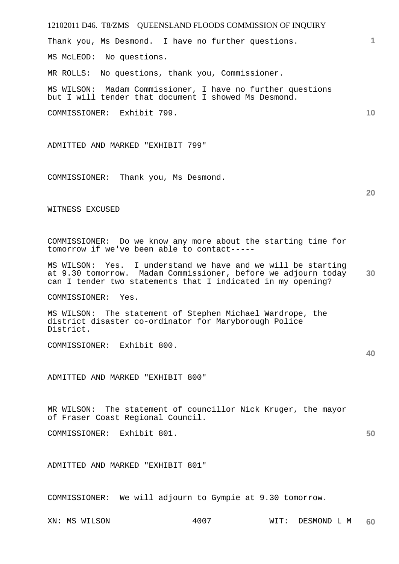12102011 D46. T8/ZMS QUEENSLAND FLOODS COMMISSION OF INQUIRY Thank you, Ms Desmond. I have no further questions. MS McLEOD: No questions. MR ROLLS: No questions, thank you, Commissioner. MS WILSON: Madam Commissioner, I have no further questions but I will tender that document I showed Ms Desmond. COMMISSIONER: Exhibit 799.

ADMITTED AND MARKED "EXHIBIT 799"

COMMISSIONER: Thank you, Ms Desmond.

WITNESS EXCUSED

COMMISSIONER: Do we know any more about the starting time for tomorrow if we've been able to contact-----

**30**  MS WILSON: Yes. I understand we have and we will be starting at 9.30 tomorrow. Madam Commissioner, before we adjourn today can I tender two statements that I indicated in my opening?

COMMISSIONER: Yes.

MS WILSON: The statement of Stephen Michael Wardrope, the district disaster co-ordinator for Maryborough Police District.

COMMISSIONER: Exhibit 800.

ADMITTED AND MARKED "EXHIBIT 800"

MR WILSON: The statement of councillor Nick Kruger, the mayor of Fraser Coast Regional Council.

COMMISSIONER: Exhibit 801.

ADMITTED AND MARKED "EXHIBIT 801"

COMMISSIONER: We will adjourn to Gympie at 9.30 tomorrow.

**1**

**10** 

**40**